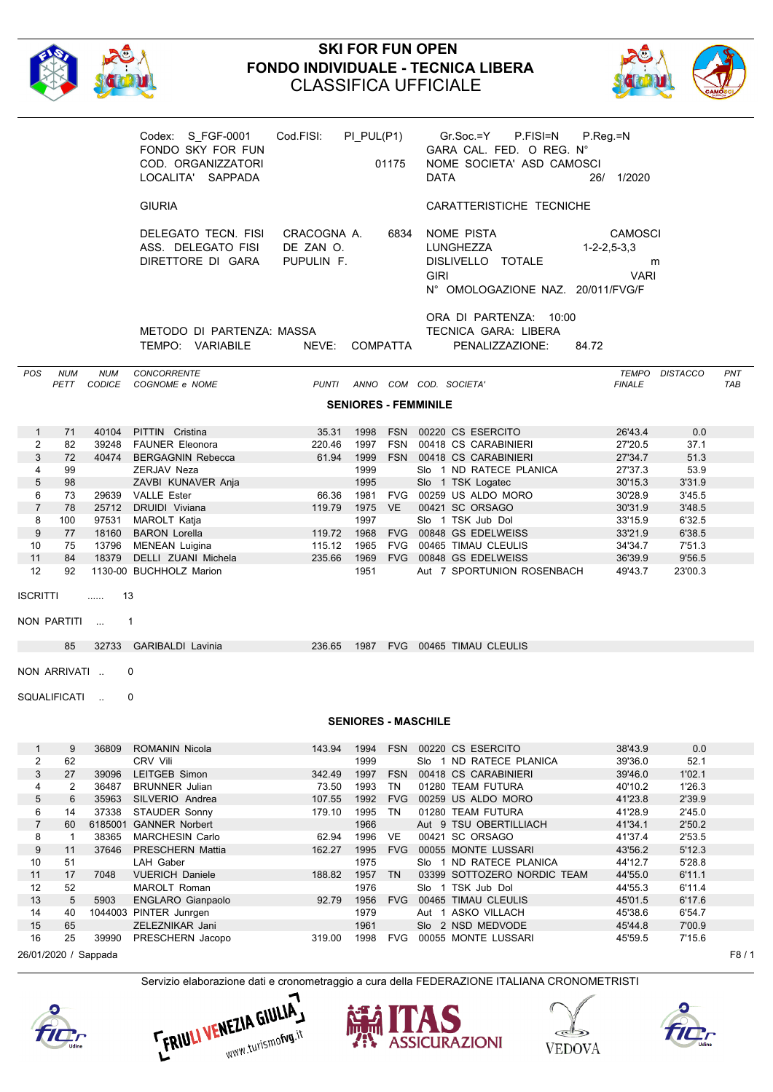

# **SKI FOR FUN OPEN FONDO INDIVIDUALE - TECNICA LIBERA** CLASSIFICA UFFICIALE



|                                |                      |                      | Codex: S FGF-0001<br>FONDO SKY FOR FUN<br>COD. ORGANIZZATORI<br>LOCALITA' SAPPADA | Cod.FISI:                              | $PI_PUL(P1)$ | 01175                       | DATA        | Gr.Soc.=Y<br>P.FISI=N<br>GARA CAL. FED. O REG. N°<br>NOME SOCIETA' ASD CAMOSCI    | $P_{\cdot}$ Reg = N<br>26/ 1/2020                      |                  |                   |
|--------------------------------|----------------------|----------------------|-----------------------------------------------------------------------------------|----------------------------------------|--------------|-----------------------------|-------------|-----------------------------------------------------------------------------------|--------------------------------------------------------|------------------|-------------------|
|                                |                      |                      | <b>GIURIA</b>                                                                     |                                        |              |                             |             | CARATTERISTICHE TECNICHE                                                          |                                                        |                  |                   |
|                                |                      |                      | DELEGATO TECN. FISI<br>ASS. DELEGATO FISI<br>DIRETTORE DI GARA                    | CRACOGNA A.<br>DE ZAN O.<br>PUPULIN F. |              | 6834                        | <b>GIRI</b> | NOME PISTA<br>LUNGHEZZA<br>DISLIVELLO TOTALE<br>N° OMOLOGAZIONE NAZ. 20/011/FVG/F | <b>CAMOSCI</b><br>$1 - 2 - 2, 5 - 3, 3$<br><b>VARI</b> | m                |                   |
|                                |                      |                      | METODO DI PARTENZA: MASSA<br>TEMPO: VARIABILE                                     | NEVE: COMPATTA                         |              |                             |             | ORA DI PARTENZA: 10:00<br>TECNICA GARA: LIBERA<br>PENALIZZAZIONE:                 | 84.72                                                  |                  |                   |
| <b>POS</b>                     | <b>NUM</b><br>PETT   | <b>NUM</b><br>CODICE | CONCORRENTE<br>COGNOME e NOME                                                     | PUNTI                                  |              |                             |             | ANNO COM COD. SOCIETA'                                                            | <b>FINALE</b>                                          | TEMPO DISTACCO   | PNT<br><b>TAB</b> |
|                                |                      |                      |                                                                                   |                                        |              |                             |             |                                                                                   |                                                        |                  |                   |
|                                |                      |                      |                                                                                   |                                        |              | <b>SENIORES - FEMMINILE</b> |             |                                                                                   |                                                        |                  |                   |
| $\mathbf{1}$                   | 71                   | 40104                | PITTIN Cristina                                                                   | 35.31                                  | 1998         |                             |             | FSN 00220 CS ESERCITO                                                             | 26'43.4                                                | 0.0              |                   |
| $\overline{2}$                 | 82                   | 39248                | <b>FAUNER Eleonora</b>                                                            | 220.46                                 | 1997         |                             |             | FSN 00418 CS CARABINIERI                                                          | 27'20.5                                                | 37.1             |                   |
| 3                              | 72                   | 40474                | <b>BERGAGNIN Rebecca</b>                                                          | 61.94                                  | 1999         |                             |             | FSN 00418 CS CARABINIERI                                                          | 27'34.7                                                | 51.3             |                   |
| 4                              | 99                   |                      | ZERJAV Neza                                                                       |                                        | 1999         |                             |             | SI <sub>o</sub> 1 ND RATECE PLANICA                                               | 27'37.3                                                | 53.9             |                   |
| 5                              | 98                   |                      | ZAVBI KUNAVER Anja                                                                |                                        | 1995         |                             |             | Slo 1 TSK Logatec                                                                 | 30'15.3                                                | 3'31.9           |                   |
| 6                              | 73                   |                      | 29639 VALLE Ester                                                                 | 66.36                                  | 1981         |                             |             | FVG 00259 US ALDO MORO                                                            | 30'28.9                                                | 3'45.5           |                   |
| $\overline{7}$<br>8            | 78                   | 25712                | DRUIDI Viviana<br>97531 MAROLT Katja                                              | 119.79                                 | 1997         | 1975 VE                     |             | 00421 SC ORSAGO<br>Slo 1 TSK Jub Dol                                              | 30'31.9<br>33'15.9                                     | 3'48.5<br>6'32.5 |                   |
| 9                              | 100<br>77            | 18160                | <b>BARON Lorella</b>                                                              | 119.72                                 | 1968         |                             |             | FVG 00848 GS EDELWEISS                                                            | 33'21.9                                                | 6'38.5           |                   |
| 10                             | 75                   | 13796                | MENEAN Luigina                                                                    | 115.12                                 | 1965         |                             |             | FVG 00465 TIMAU CLEULIS                                                           | 34'34.7                                                | 7'51.3           |                   |
| 11                             | 84                   | 18379                | DELLI ZUANI Michela                                                               | 235.66                                 |              |                             |             | 1969 FVG 00848 GS EDELWEISS                                                       | 36'39.9                                                | 9'56.5           |                   |
| 12                             | 92                   |                      | 1130-00 BUCHHOLZ Marion                                                           |                                        | 1951         |                             |             | Aut 7 SPORTUNION ROSENBACH                                                        | 49'43.7                                                | 23'00.3          |                   |
|                                |                      |                      |                                                                                   |                                        |              |                             |             |                                                                                   |                                                        |                  |                   |
| <b>ISCRITTI</b>                |                      | 13<br>.              |                                                                                   |                                        |              |                             |             |                                                                                   |                                                        |                  |                   |
|                                | NON PARTITI          |                      | $\mathbf{1}$                                                                      |                                        |              |                             |             |                                                                                   |                                                        |                  |                   |
|                                |                      |                      |                                                                                   |                                        |              |                             |             |                                                                                   |                                                        |                  |                   |
|                                | 85                   |                      | 32733 GARIBALDI Lavinia                                                           | 236.65                                 |              |                             |             | 1987 FVG 00465 TIMAU CLEULIS                                                      |                                                        |                  |                   |
|                                | NON ARRIVATI         |                      | 0                                                                                 |                                        |              |                             |             |                                                                                   |                                                        |                  |                   |
|                                | SQUALIFICATI         |                      | 0                                                                                 |                                        |              |                             |             |                                                                                   |                                                        |                  |                   |
|                                |                      |                      |                                                                                   |                                        |              |                             |             |                                                                                   |                                                        |                  |                   |
|                                |                      |                      |                                                                                   |                                        |              | <b>SENIORES - MASCHILE</b>  |             |                                                                                   |                                                        |                  |                   |
|                                |                      |                      |                                                                                   |                                        |              |                             |             |                                                                                   |                                                        |                  |                   |
| $\mathbf{1}$<br>$\overline{2}$ | 9<br>62              | 36809                | ROMANIN Nicola<br>CRV Vili                                                        | 143.94                                 | 1994<br>1999 |                             |             | FSN 00220 CS ESERCITO<br>Slo 1 ND RATECE PLANICA                                  | 38'43.9<br>39'36.0                                     | 0.0<br>52.1      |                   |
| 3                              | 27                   | 39096                | LEITGEB Simon                                                                     | 342.49                                 | 1997         | <b>FSN</b>                  |             | 00418 CS CARABINIERI                                                              | 39'46.0                                                | 1'02.1           |                   |
| 4                              | $\overline{2}$       | 36487                | <b>BRUNNER</b> Julian                                                             | 73.50                                  | 1993         | TN                          |             | 01280 TEAM FUTURA                                                                 | 40'10.2                                                | 1'26.3           |                   |
| 5                              | 6                    | 35963                | SILVERIO Andrea                                                                   | 107.55                                 | 1992         |                             |             | FVG 00259 US ALDO MORO                                                            | 41'23.8                                                | 2'39.9           |                   |
| 6                              | 14                   | 37338                | STAUDER Sonny                                                                     | 179.10                                 | 1995 TN      |                             |             | 01280 TEAM FUTURA                                                                 | 41'28.9                                                | 2'45.0           |                   |
| $\overline{7}$                 | 60                   |                      | 6185001 GANNER Norbert                                                            |                                        | 1966         |                             |             | Aut 9 TSU OBERTILLIACH                                                            | 41'34.1                                                | 2'50.2           |                   |
| 8                              | $\mathbf{1}$         | 38365                | <b>MARCHESIN Carlo</b>                                                            | 62.94                                  | 1996         | VE                          |             | 00421 SC ORSAGO                                                                   | 41'37.4                                                | 2'53.5           |                   |
| 9                              | 11                   | 37646                | PRESCHERN Mattia                                                                  | 162.27                                 | 1995<br>1975 |                             |             | FVG 00055 MONTE LUSSARI                                                           | 43'56.2<br>44'12.7                                     | 5'12.3<br>5'28.8 |                   |
| 10<br>11                       | 51<br>17             | 7048                 | LAH Gaber<br><b>VUERICH Daniele</b>                                               | 188.82                                 | 1957 TN      |                             |             | Slo 1 ND RATECE PLANICA<br>03399 SOTTOZERO NORDIC TEAM                            | 44'55.0                                                | 6'11.1           |                   |
| 12                             | 52                   |                      | MAROLT Roman                                                                      |                                        | 1976         |                             |             | Slo 1 TSK Jub Dol                                                                 | 44'55.3                                                | 6'11.4           |                   |
| 13                             | 5                    | 5903                 | <b>ENGLARO Gianpaolo</b>                                                          | 92.79                                  | 1956         | <b>FVG</b>                  |             | 00465 TIMAU CLEULIS                                                               | 45'01.5                                                | 6'17.6           |                   |
| 14                             | 40                   |                      | 1044003 PINTER Junrgen                                                            |                                        | 1979         |                             |             | Aut 1 ASKO VILLACH                                                                | 45'38.6                                                | 6'54.7           |                   |
| 15                             | 65                   |                      | ZELEZNIKAR Jani                                                                   |                                        | 1961         |                             |             | Slo 2 NSD MEDVODE                                                                 | 45'44.8                                                | 7'00.9           |                   |
| 16                             | 25                   | 39990                | PRESCHERN Jacopo                                                                  | 319.00                                 | 1998         | FVG                         |             | 00055 MONTE LUSSARI                                                               | 45'59.5                                                | 7'15.6           |                   |
|                                | 26/01/2020 / Sappada |                      |                                                                                   |                                        |              |                             |             |                                                                                   |                                                        |                  | F8/1              |









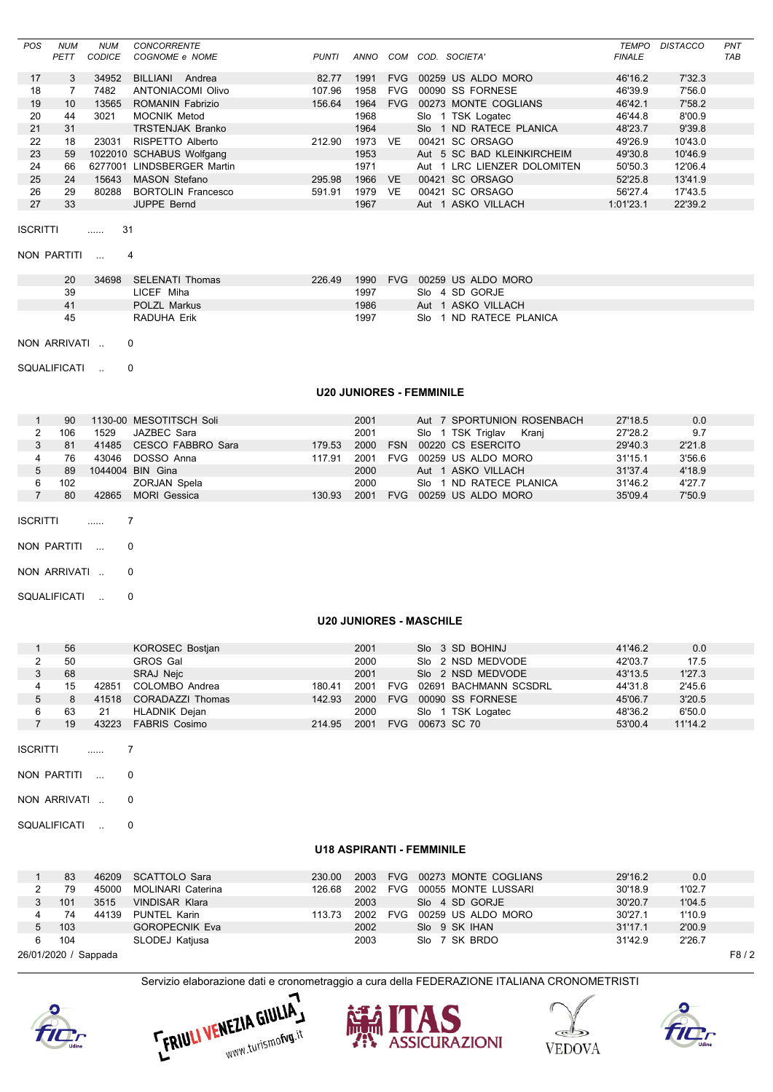|    | <b>NUM</b> | <b>NUM</b>    | <b>CONCORRENTE</b>        |              |      |            |                             | TEMPO         | <b>DISTACCO</b> | PNT        |
|----|------------|---------------|---------------------------|--------------|------|------------|-----------------------------|---------------|-----------------|------------|
|    | PETT       | <b>CODICE</b> | COGNOME e NOME            | <b>PUNTI</b> | ANNO | сом        | COD.<br>SOCIETA'            | <b>FINALE</b> |                 | <b>TAB</b> |
|    |            |               |                           |              |      |            |                             | 46'16.2       |                 |            |
| 17 | 3          | 34952         | BILLIANI<br>Andrea        | 82.77        | 1991 | <b>FVG</b> | 00259 US ALDO MORO          |               | 7'32.3          |            |
| 18 |            | 7482          | <b>ANTONIACOMI Olivo</b>  | 107.96       | 1958 | <b>FVG</b> | <b>SS FORNESE</b><br>00090  | 46'39.9       | 7'56.0          |            |
| 19 | 10         | 13565         | ROMANIN Fabrizio          | 156.64       | 1964 | <b>FVG</b> | 00273 MONTE COGLIANS        | 46'42.1       | 7'58.2          |            |
| 20 | 44         | 3021          | <b>MOCNIK Metod</b>       |              | 1968 |            | 1 TSK Logatec<br>Slo        | 46'44.8       | 8'00.9          |            |
| 21 | 31         |               | <b>TRSTENJAK Branko</b>   |              | 1964 |            | 1 ND RATECE PLANICA<br>Slo. | 48'23.7       | 9'39.8          |            |
| 22 | 18         | 23031         | RISPETTO Alberto          | 212.90       | 1973 | <b>VE</b>  | 00421 SC ORSAGO             | 49'26.9       | 10'43.0         |            |
| 23 | 59         |               | 1022010 SCHABUS Wolfgang  |              | 1953 |            | Aut 5 SC BAD KLEINKIRCHEIM  | 49'30.8       | 10'46.9         |            |
| 24 | 66         | 6277001       | <b>LINDSBERGER Martin</b> |              | 1971 |            | Aut 1 LRC LIENZER DOLOMITEN | 50'50.3       | 12'06.4         |            |
| 25 | 24         | 15643         | <b>MASON Stefano</b>      | 295.98       | 1966 | <b>VF</b>  | 00421 SC ORSAGO             | 52'25.8       | 13'41.9         |            |
| 26 | 29         | 80288         | <b>BORTOLIN Francesco</b> | 591.91       | 1979 | VF         | 00421 SC ORSAGO             | 56'27.4       | 17'43.5         |            |
| 27 | 33         |               | <b>JUPPE Bernd</b>        |              | 1967 |            | Aut 1 ASKO VILLACH          | 1:01'23.1     | 22'39.2         |            |

 $\ldots$  31 **ISCRITTI** 

NON PARTITI ... 4

| 20 | 34698 | SELENATI Thomas     | 226.49 | 1990 | FVG 00259 US ALDO MORO              |
|----|-------|---------------------|--------|------|-------------------------------------|
| 39 |       | LICEF Miha          |        | 1997 | Slo 4 SD GORJE                      |
| 41 |       | <b>POLZL Markus</b> |        | 1986 | Aut 1 ASKO VILLACH                  |
| 45 |       | RADUHA Erik         |        | 1997 | SI <sub>0</sub> 1 ND RATECE PLANICA |
|    |       |                     |        |      |                                     |

NON ARRIVATI .. 0

SQUALIFICATI ..  $\overline{0}$ 

#### **U20 JUNIORES - FEMMINILE**

| 90  | 1130-00 MESOTITSCH Soli      | 2001           | Aut 7 SPORTUNION ROSENBACH      | 27'18.5<br>0.0    |  |
|-----|------------------------------|----------------|---------------------------------|-------------------|--|
| 106 | 1529<br>JAZBEC Sara          | 2001           | Slo 1 TSK Triglav<br>Krani      | 27'28.2<br>9.7    |  |
| 81  | CESCO FABBRO Sara<br>41485   | 2000<br>179.53 | 00220 CS ESERCITO<br><b>FSN</b> | 2'21.8<br>29'40.3 |  |
| 76  | DOSSO Anna<br>43046          | 2001<br>11791  | 00259 US ALDO MORO<br>FVG.      | 3'56.6<br>31'15.1 |  |
| 89  | 1044004 BIN Gina             | 2000           | Aut 1 ASKO VILLACH              | 31'37.4<br>4'18.9 |  |
| 102 | ZORJAN Spela                 | 2000           | 1 ND RATECE PLANICA<br>Slo.     | 31'46.2<br>4'27.7 |  |
| 80  | <b>MORI</b> Gessica<br>42865 | 2001<br>130 93 | 00259 US ALDO MORO<br>FVG.      | 7'50.9<br>35'09.4 |  |

**ISCRITTI** 

 $\frac{1}{2}$ 

 $\overline{7}$ 

NON PARTITI ...  $\mathbf 0$ 

NON ARRIVATI ..  $\mathbf 0$ 

SQUALIFICATI ..  $\pmb{0}$ 

### **U20 JUNIORES - MASCHILE**

| 56 |       | KOROSEC Bostjan      |        | 2001 |            | Slo 3 SD BOHINJ       | 41'46.2 | 0.0     |  |
|----|-------|----------------------|--------|------|------------|-----------------------|---------|---------|--|
| 50 |       | <b>GROS Gal</b>      |        | 2000 |            | Slo 2 NSD MEDVODE     | 42'03.7 | 17.5    |  |
| 68 |       | SRAJ Nejc            |        | 2001 |            | Slo 2 NSD MEDVODE     | 43'13.5 | 1'27.3  |  |
| 15 | 42851 | COLOMBO Andrea       | 180.41 | 2001 | <b>FVG</b> | 02691 BACHMANN SCSDRL | 44'31.8 | 2'45.6  |  |
|    | 41518 | CORADAZZI Thomas     | 142.93 | 2000 | <b>FVG</b> | 00090 SS FORNESE      | 45'06.7 | 3'20.5  |  |
| 63 | 21    | <b>HLADNIK Dejan</b> |        | 2000 |            | Slo 1 TSK Logatec     | 48'36.2 | 6'50.0  |  |
| 19 | 43223 | <b>FABRIS Cosimo</b> | 214.95 | 2001 | <b>FVG</b> | 00673 SC 70           | 53'00.4 | 11'14.2 |  |
|    |       |                      |        |      |            |                       |         |         |  |

**ISCRITTI**  $\overline{7}$ المسترد

NON PARTITI ...  $\mathbf 0$ 

NON ARRIVATI ..  $\mathbf 0$ 

SQUALIFICATI ..  $\Omega$ 

### **U18 ASPIRANTI - FEMMINILE**

|                      | 83  | 46209 | SCATTOLO Sara         | 230.00 | 2003 |            | FVG 00273 MONTE COGLIANS | 29'16.2 | 0.0    |      |
|----------------------|-----|-------|-----------------------|--------|------|------------|--------------------------|---------|--------|------|
|                      | 79  | 45000 | MOLINARI Caterina     | 126.68 | 2002 | <b>FVG</b> | 00055 MONTE LUSSARI      | 30'18.9 | 1'02.7 |      |
|                      | 101 | 3515  | VINDISAR Klara        |        | 2003 |            | Slo 4 SD GORJE           | 30'20.7 | 1'04.5 |      |
| 4                    | 74  | 44139 | PUNTEL Karin          | 113.73 | 2002 | FVG        | 00259 US ALDO MORO       | 30'27.1 | 1'10.9 |      |
| 5                    | 103 |       | <b>GOROPECNIK Eva</b> |        | 2002 |            | Slo 9 SK IHAN            | 31'17.1 | 2'00.9 |      |
| 6                    | 104 |       | SLODEJ Katjusa        |        | 2003 |            | Slo 7 SK BRDO            | 31'42.9 | 2'26.7 |      |
| 26/01/2020 / Sappada |     |       |                       |        |      |            |                          |         |        | F8/2 |

26/01/2020 / Sappada











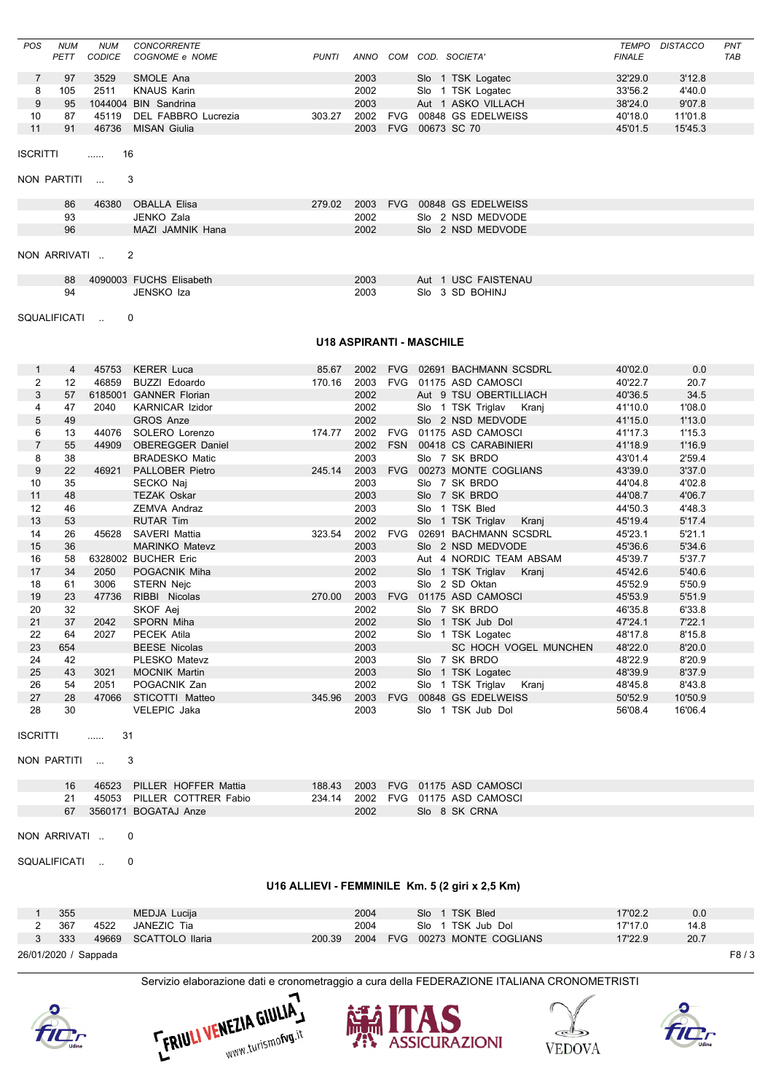| <b>POS</b> | <b>NUM</b> | <b>NUM</b> | <b>CONCORRENTE</b>   |              |      |            |                         | TEMPO         | DISTACCO | <b>PNT</b> |
|------------|------------|------------|----------------------|--------------|------|------------|-------------------------|---------------|----------|------------|
|            | PETT       | CODICE     | COGNOME e NOME       | <b>PUNTI</b> | ANNO | COM        | COD.<br><i>SOCIETA'</i> | <b>FINALE</b> |          | <b>TAB</b> |
|            | 97         | 3529       | SMOLE Ana            |              | 2003 |            | Slo 1 TSK Logatec       | 32'29.0       | 3'12.8   |            |
| 8          | 105        | 2511       | <b>KNAUS Karin</b>   |              | 2002 |            | Slo 1 TSK Logatec       | 33'56.2       | 4'40.0   |            |
|            | 95         |            | 1044004 BIN Sandrina |              | 2003 |            | Aut 1 ASKO VILLACH      | 38'24.0       | 9'07.8   |            |
| 10         | 87         | 45119      | DEL FABBRO Lucrezia  | 303.27       | 2002 | <b>FVG</b> | 00848 GS EDELWEISS      | 40'18.0       | 11'01.8  |            |
|            | 91         | 46736      | MISAN Giulia         |              | 2003 | <b>FVG</b> | 00673 SC 70             | 45'01.5       | 15'45.3  |            |
|            |            |            |                      |              |      |            |                         |               |          |            |

```
ISCRITTI ...... 16
```
NON PARTITI ... 3

| 86           | 46380 | OBALLA Elisa     | 279.02 | 2003 |  | FVG 00848 GS EDELWEISS |  |  |
|--------------|-------|------------------|--------|------|--|------------------------|--|--|
| 93           |       | JENKO Zala       |        | 2002 |  | Slo 2 NSD MEDVODE      |  |  |
| 96           |       | MAZI JAMNIK Hana |        | 2002 |  | Slo 2 NSD MEDVODE      |  |  |
| NON ARRIVATI |       | - 2              |        |      |  |                        |  |  |

| 88 | 4090003 FUCHS Elisabeth | 2003 | Aut 1 USC FAISTENAU |
|----|-------------------------|------|---------------------|
| 94 | JENSKO Iza              | 2003 | Slo 3 SD BOHINJ     |

SQUALIFICATI .. 0

### **U18 ASPIRANTI - MASCHILE**

|                | 4   | 45753 | <b>KERER Luca</b>       | 85.67  |      |            | 2002 FVG 02691 BACHMANN SCSDRL | 40'02.0 | 0.0     |
|----------------|-----|-------|-------------------------|--------|------|------------|--------------------------------|---------|---------|
| 2              | 12  | 46859 | <b>BUZZI Edoardo</b>    | 170.16 | 2003 | <b>FVG</b> | 01175 ASD CAMOSCI              | 40'22.7 | 20.7    |
| 3              | 57  |       | 6185001 GANNER Florian  |        | 2002 |            | Aut 9 TSU OBERTILLIACH         | 40'36.5 | 34.5    |
| 4              | 47  | 2040  | <b>KARNICAR Izidor</b>  |        | 2002 |            | Slo 1 TSK Triglav Kranj        | 41'10.0 | 1'08.0  |
| 5              | 49  |       | <b>GROS Anze</b>        |        | 2002 |            | Slo 2 NSD MEDVODE              | 41'15.0 | 1'13.0  |
| 6              | 13  | 44076 | SOLERO Lorenzo          | 174.77 | 2002 | <b>FVG</b> | 01175 ASD CAMOSCI              | 41'17.3 | 1'15.3  |
| $\overline{7}$ | 55  | 44909 | <b>OBEREGGER Daniel</b> |        | 2002 |            | FSN 00418 CS CARABINIERI       | 41'18.9 | 1'16.9  |
| 8              | 38  |       | <b>BRADESKO Matic</b>   |        | 2003 |            | Slo 7 SK BRDO                  | 43'01.4 | 2'59.4  |
| 9              | 22  |       | 46921 PALLOBER Pietro   | 245.14 | 2003 |            | FVG 00273 MONTE COGLIANS       | 43'39.0 | 3'37.0  |
| 10             | 35  |       | SECKO Naj               |        | 2003 |            | Slo 7 SK BRDO                  | 44'04.8 | 4'02.8  |
| 11             | 48  |       | <b>TEZAK Oskar</b>      |        | 2003 |            | Slo 7 SK BRDO                  | 44'08.7 | 4'06.7  |
| 12             | 46  |       | <b>ZEMVA Andraz</b>     |        | 2003 |            | Slo 1 TSK Bled                 | 44'50.3 | 4'48.3  |
| 13             | 53  |       | <b>RUTAR Tim</b>        |        | 2002 |            | Slo 1 TSK Triglav Kranj        | 45'19.4 | 5'17.4  |
| 14             | 26  | 45628 | SAVERI Mattia           | 323.54 | 2002 | <b>FVG</b> | 02691 BACHMANN SCSDRL          | 45'23.1 | 5'21.1  |
| 15             | 36  |       | <b>MARINKO Matevz</b>   |        | 2003 |            | Slo 2 NSD MEDVODE              | 45'36.6 | 5'34.6  |
| 16             | 58  |       | 6328002 BUCHER Eric     |        | 2003 |            | Aut 4 NORDIC TEAM ABSAM        | 45'39.7 | 5'37.7  |
| 17             | 34  | 2050  | POGACNIK Miha           |        | 2002 |            | Slo 1 TSK Triglav Kranj        | 45'42.6 | 5'40.6  |
| 18             | 61  | 3006  | STERN Nejc              |        | 2003 |            | Slo 2 SD Oktan                 | 45'52.9 | 5'50.9  |
| 19             | 23  | 47736 | RIBBI Nicolas           | 270.00 | 2003 |            | FVG 01175 ASD CAMOSCI          | 45'53.9 | 5'51.9  |
| 20             | 32  |       | SKOF Aej                |        | 2002 |            | Slo 7 SK BRDO                  | 46'35.8 | 6'33.8  |
| 21             | 37  | 2042  | SPORN Miha              |        | 2002 |            | Slo 1 TSK Jub Dol              | 47'24.1 | 7'22.1  |
| 22             | 64  | 2027  | PECEK Atila             |        | 2002 |            | Slo 1 TSK Logatec              | 48'17.8 | 8'15.8  |
| 23             | 654 |       | <b>BEESE Nicolas</b>    |        | 2003 |            | SC HOCH VOGEL MUNCHEN          | 48'22.0 | 8'20.0  |
| 24             | 42  |       | PLESKO Matevz           |        | 2003 |            | Slo 7 SK BRDO                  | 48'22.9 | 8'20.9  |
| 25             | 43  | 3021  | <b>MOCNIK Martin</b>    |        | 2003 |            | Slo 1 TSK Logatec              | 48'39.9 | 8'37.9  |
| 26             | 54  | 2051  | POGACNIK Zan            |        | 2002 |            | Slo 1 TSK Triglav Kranj        | 48'45.8 | 8'43.8  |
| 27             | 28  | 47066 | STICOTTI Matteo         | 345.96 | 2003 | <b>FVG</b> | 00848 GS EDELWEISS             | 50'52.9 | 10'50.9 |
| 28             | 30  |       | <b>VELEPIC Jaka</b>     |        | 2003 |            | Slo 1 TSK Jub Dol              | 56'08.4 | 16'06.4 |

```
ISCRITTI ...... 31
```

```
NON PARTITI ... 3
```

|    | 46523 PILLER HOFFER Mattia |      | 188.43  2003  FVG  01175  ASD CAMOSCI |
|----|----------------------------|------|---------------------------------------|
|    | 45053 PILLER COTTRER Fabio |      | 234.14 2002 FVG 01175 ASD CAMOSCL     |
| 67 | 3560171 BOGATAJ Anze       | 2002 | Slo 8 SK CRNA                         |

NON ARRIVATI .. 0

SQUALIFICATI .. 0

### **U16 ALLIEVI - FEMMINILE Km. 5 (2 giri x 2,5 Km)**

| 355                  |       | MEDJA Lucija    |        | 2004 |  | Slo 1 TSK Bled           | 17'02.2 | 0.0  |      |
|----------------------|-------|-----------------|--------|------|--|--------------------------|---------|------|------|
| 367                  | 4522  | JANEZIC Tia     |        | 2004 |  | Slo 1 TSK Jub Dol        | 17'17.0 | 14.8 |      |
| 3 333                | 49669 | SCATTOLO Ilaria | 200.39 | 2004 |  | FVG 00273 MONTE COGLIANS | 17'22.9 | 20.7 |      |
| 26/01/2020 / Sappada |       |                 |        |      |  |                          |         |      | F8/3 |









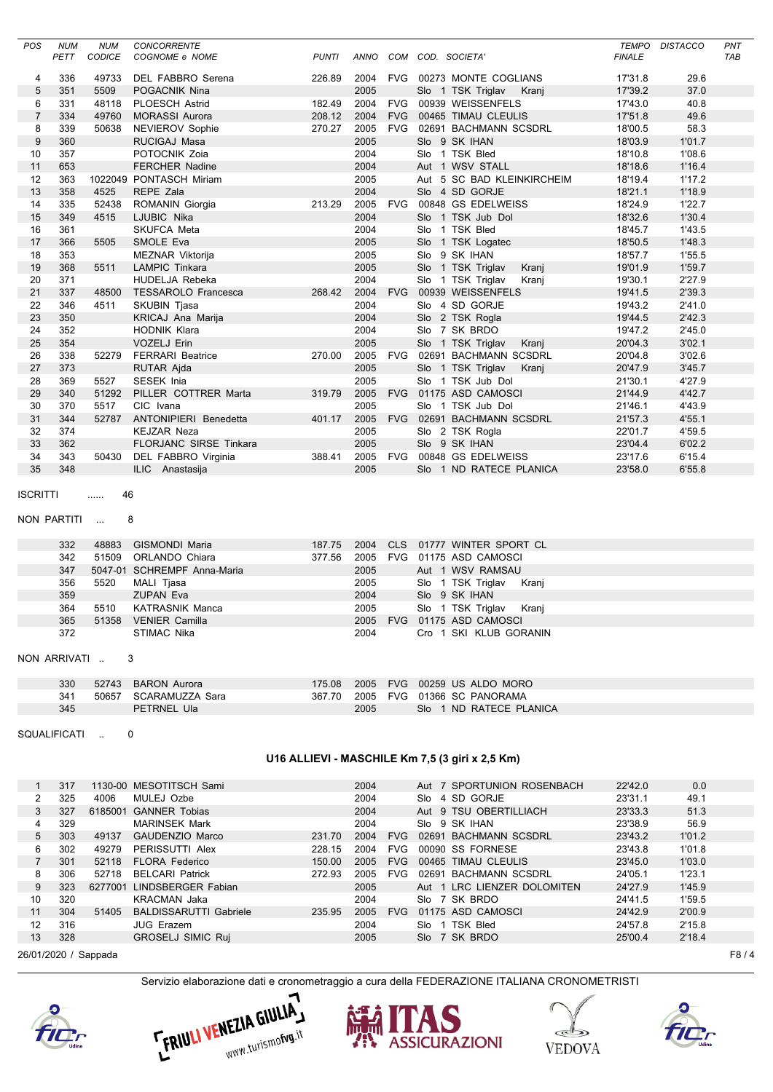| POS            | <b>NUM</b> | <b>NUM</b> | <b>CONCORRENTE</b>            |              |             |            |                            | <b>TEMPO</b>  | <b>DISTACCO</b> | PNT        |
|----------------|------------|------------|-------------------------------|--------------|-------------|------------|----------------------------|---------------|-----------------|------------|
|                | PETT       | CODICE     | COGNOME e NOME                | <b>PUNTI</b> | <b>ANNO</b> |            | COM COD. SOCIETA'          | <b>FINALE</b> |                 | <b>TAB</b> |
| 4              | 336        | 49733      | DEL FABBRO Serena             | 226.89       | 2004        | <b>FVG</b> | 00273 MONTE COGLIANS       | 17'31.8       | 29.6            |            |
| 5              | 351        | 5509       | POGACNIK Nina                 |              | 2005        |            | Slo 1 TSK Triglav<br>Krani | 17'39.2       | 37.0            |            |
| 6              | 331        | 48118      | <b>PLOESCH Astrid</b>         | 182.49       | 2004        | <b>FVG</b> | 00939 WEISSENFELS          | 17'43.0       | 40.8            |            |
| $\overline{7}$ | 334        | 49760      | <b>MORASSI Aurora</b>         | 208.12       | 2004        | <b>FVG</b> | 00465 TIMAU CLEULIS        | 17'51.8       | 49.6            |            |
| 8              | 339        | 50638      | NEVIEROV Sophie               | 270.27       | 2005        | <b>FVG</b> | 02691 BACHMANN SCSDRL      | 18'00.5       | 58.3            |            |
| 9              | 360        |            | RUCIGAJ Masa                  |              | 2005        |            | Slo 9 SK IHAN              | 18'03.9       | 1'01.7          |            |
| 10             | 357        |            | POTOCNIK Zoia                 |              | 2004        |            | Slo 1 TSK Bled             | 18'10.8       | 1'08.6          |            |
| 11             | 653        |            | <b>FERCHER Nadine</b>         |              | 2004        |            | Aut 1 WSV STALL            | 18'18.6       | 1'16.4          |            |
| 12             | 363        |            | 1022049 PONTASCH Miriam       |              | 2005        |            | Aut 5 SC BAD KLEINKIRCHEIM | 18'19.4       | 1'17.2          |            |
| 13             | 358        | 4525       | REPE Zala                     |              | 2004        |            | Slo 4 SD GORJE             | 18'21.1       | 1'18.9          |            |
| 14             | 335        | 52438      | ROMANIN Giorgia               | 213.29       | 2005        | <b>FVG</b> | 00848 GS EDELWEISS         | 18'24.9       | 1'22.7          |            |
| 15             | 349        | 4515       | LJUBIC Nika                   |              | 2004        |            | Slo 1 TSK Jub Dol          | 18'32.6       | 1'30.4          |            |
| 16             | 361        |            | <b>SKUFCA Meta</b>            |              | 2004        |            | 1 TSK Bled<br>Slo          | 18'45.7       | 1'43.5          |            |
| 17             | 366        | 5505       | SMOLE Eva                     |              | 2005        |            | Slo 1 TSK Logatec          | 18'50.5       | 1'48.3          |            |
| 18             | 353        |            | MEZNAR Viktorija              |              | 2005        |            | Slo 9 SK IHAN              | 18'57.7       | 1'55.5          |            |
| 19             | 368        | 5511       | <b>LAMPIC Tinkara</b>         |              | 2005        |            | Slo 1 TSK Triglav<br>Kranj | 19'01.9       | 1'59.7          |            |
| 20             | 371        |            | <b>HUDELJA Rebeka</b>         |              | 2004        |            | Slo 1 TSK Triglav<br>Kranj | 19'30.1       | 2'27.9          |            |
| 21             | 337        | 48500      | <b>TESSAROLO Francesca</b>    | 268.42       | 2004        | <b>FVG</b> | 00939 WEISSENFELS          | 19'41.5       | 2'39.3          |            |
| 22             | 346        | 4511       | <b>SKUBIN Tjasa</b>           |              | 2004        |            | Slo 4 SD GORJE             | 19'43.2       | 2'41.0          |            |
| 23             | 350        |            | <b>KRICAJ Ana Marija</b>      |              | 2004        |            | Slo 2 TSK Rogla            | 19'44.5       | 2'42.3          |            |
| 24             | 352        |            | <b>HODNIK Klara</b>           |              | 2004        |            | Slo 7 SK BRDO              | 19'47.2       | 2'45.0          |            |
| 25             | 354        |            | <b>VOZELJ Erin</b>            |              | 2005        |            | Slo 1 TSK Triglav<br>Kranj | 20'04.3       | 3'02.1          |            |
| 26             | 338        | 52279      | <b>FERRARI Beatrice</b>       | 270.00       | 2005        | <b>FVG</b> | 02691 BACHMANN SCSDRL      | 20'04.8       | 3'02.6          |            |
| 27             | 373        |            | RUTAR Ajda                    |              | 2005        |            | Slo 1 TSK Triglav<br>Kranj | 20'47.9       | 3'45.7          |            |
| 28             | 369        | 5527       | <b>SESEK Inja</b>             |              | 2005        |            | Slo 1 TSK Jub Dol          | 21'30.1       | 4'27.9          |            |
| 29             | 340        | 51292      | PILLER COTTRER Marta          | 319.79       | 2005        | <b>FVG</b> | 01175 ASD CAMOSCI          | 21'44.9       | 4'42.7          |            |
| 30             | 370        | 5517       | CIC Ivana                     |              | 2005        |            | Slo 1 TSK Jub Dol          | 21'46.1       | 4'43.9          |            |
| 31             | 344        | 52787      | <b>ANTONIPIERI Benedetta</b>  | 401.17       | 2005        |            | FVG 02691 BACHMANN SCSDRL  | 21'57.3       | 4'55.1          |            |
| 32             | 374        |            | <b>KEJZAR Neza</b>            |              | 2005        |            | Slo 2 TSK Rogla            | 22'01.7       | 4'59.5          |            |
| 33             | 362        |            | <b>FLORJANC SIRSE Tinkara</b> |              | 2005        |            | Slo 9 SK IHAN              | 23'04.4       | 6'02.2          |            |
| 34             | 343        | 50430      | DEL FABBRO Virginia           | 388.41       | 2005        | <b>FVG</b> | 00848 GS EDELWEISS         | 23'17.6       | 6'15.4          |            |
| 35             | 348        |            | ILIC Anastasija               |              | 2005        |            | Slo 1 ND RATECE PLANICA    | 23'58.0       | 6'55.8          |            |
|                |            |            |                               |              |             |            |                            |               |                 |            |

```
ISCRITTI ...... 46
```

```
NON PARTITI ... 8
```

| 332 | 48883 | GISMONDI Maria              | 187.75 | 2004 | CLS 01777 WINTER SPORT CL  |  |
|-----|-------|-----------------------------|--------|------|----------------------------|--|
| 342 | 51509 | ORLANDO Chiara              | 377.56 | 2005 | FVG 01175 ASD CAMOSCI      |  |
| 347 |       | 5047-01 SCHREMPF Anna-Maria |        | 2005 | Aut 1 WSV RAMSAU           |  |
| 356 | 5520  | MALI Tjasa                  |        | 2005 | Slo 1 TSK Triglav<br>Krani |  |
| 359 |       | <b>ZUPAN Eva</b>            |        | 2004 | Slo 9 SK IHAN              |  |
| 364 | 5510  | KATRASNIK Manca             |        | 2005 | Slo 1 TSK Triglav<br>Krani |  |
| 365 | 51358 | <b>VENIER Camilla</b>       |        | 2005 | FVG 01175 ASD CAMOSCI      |  |
| 372 |       | STIMAC Nika                 |        | 2004 | Cro 1 SKI KLUB GORANIN     |  |
|     |       |                             |        |      |                            |  |

### NON ARRIVATI .. 3

| 330 | 52743 BARON Aurora    | 175.08 |      | 2005 FVG 00259 US ALDO MORO       |
|-----|-----------------------|--------|------|-----------------------------------|
| 341 | 50657 SCARAMUZZA Sara |        |      | 367.70 2005 FVG 01366 SC PANORAMA |
| 345 | PETRNEL Ula           |        | 2005 | Slo 1 ND RATECE PLANICA           |

SQUALIFICATI .. 0

## **U16 ALLIEVI - MASCHILE Km 7,5 (3 giri x 2,5 Km)**

|                      | 317 |         | 1130-00 MESOTITSCH Sami       |        | 2004 |            | Aut 7 SPORTUNION ROSENBACH  | 22'42.0 | 0.0    |                    |
|----------------------|-----|---------|-------------------------------|--------|------|------------|-----------------------------|---------|--------|--------------------|
| 2                    | 325 | 4006    | MULEJ Ozbe                    |        | 2004 |            | 4 SD GORJE<br>Slo           | 23'31.1 | 49.1   |                    |
| 3                    | 327 | 6185001 | <b>GANNER Tobias</b>          |        | 2004 |            | Aut 9 TSU OBERTILLIACH      | 23'33.3 | 51.3   |                    |
| 4                    | 329 |         | <b>MARINSEK Mark</b>          |        | 2004 |            | 9 SK IHAN<br>Slo            | 23'38.9 | 56.9   |                    |
| 5                    | 303 | 49137   | GAUDENZIO Marco               | 231.70 | 2004 | <b>FVG</b> | 02691 BACHMANN SCSDRL       | 23'43.2 | 1'01.2 |                    |
| 6                    | 302 | 49279   | PERISSUTTI Alex               | 228.15 | 2004 | <b>FVG</b> | 00090 SS FORNESE            | 23'43.8 | 1'01.8 |                    |
|                      | 301 | 52118   | <b>FLORA Federico</b>         | 150.00 | 2005 | <b>FVG</b> | 00465 TIMAU CLEULIS         | 23'45.0 | 1'03.0 |                    |
| 8                    | 306 | 52718   | <b>BELCARI Patrick</b>        | 272.93 | 2005 | <b>FVG</b> | 02691 BACHMANN SCSDRL       | 24'05.1 | 1'23.1 |                    |
| 9                    | 323 |         | 6277001 LINDSBERGER Fabian    |        | 2005 |            | Aut 1 LRC LIENZER DOLOMITEN | 24'27.9 | 1'45.9 |                    |
| 10                   | 320 |         | <b>KRACMAN Jaka</b>           |        | 2004 |            | Slo 7 SK BRDO               | 24'41.5 | 1'59.5 |                    |
| 11                   | 304 | 51405   | <b>BALDISSARUTTI Gabriele</b> | 235.95 | 2005 | <b>FVG</b> | 01175 ASD CAMOSCI           | 24'42.9 | 2'00.9 |                    |
| 12                   | 316 |         | <b>JUG Erazem</b>             |        | 2004 |            | 1 TSK Bled<br>Slo           | 24'57.8 | 2'15.8 |                    |
| 13                   | 328 |         | <b>GROSELJ SIMIC Ruj</b>      |        | 2005 |            | Slo 7 SK BRDO               | 25'00.4 | 2'18.4 |                    |
| 26/01/2020 / Sappada |     |         |                               |        |      |            |                             |         |        | F <sub>8</sub> / 4 |









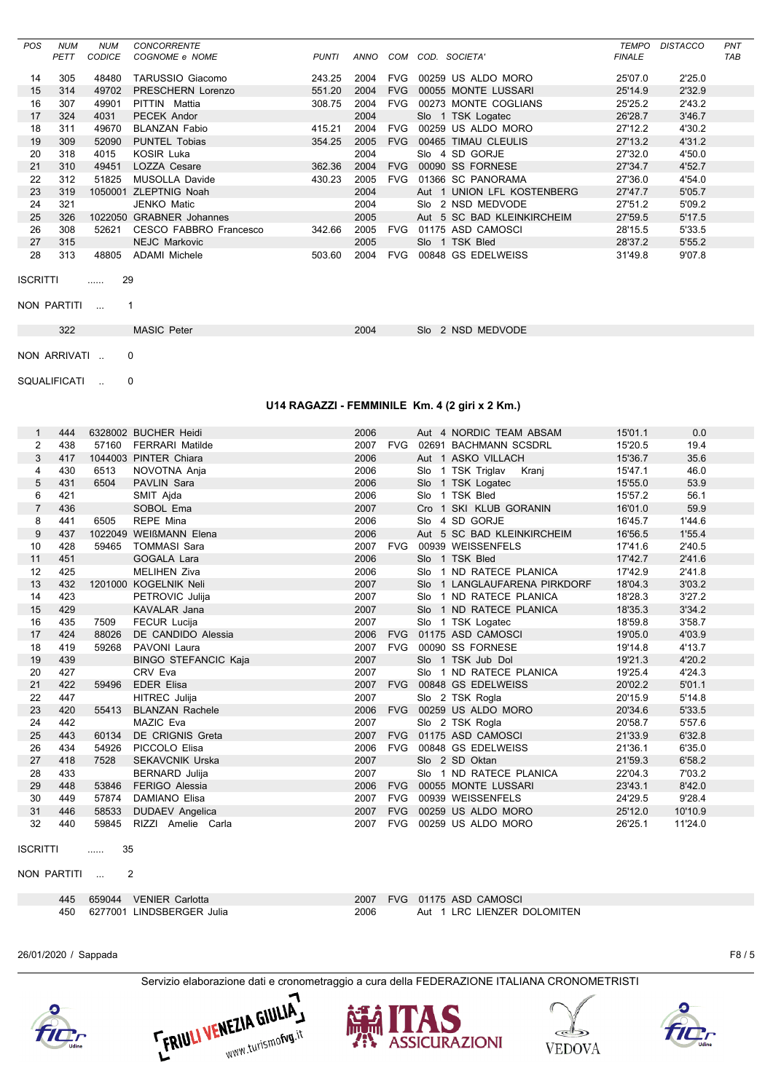| <b>POS</b> | <b>NUM</b> | <b>NUM</b> | <b>CONCORRENTE</b>      |              |      |            |                            | TEMPO         | <b>DISTACCO</b> | PNT        |
|------------|------------|------------|-------------------------|--------------|------|------------|----------------------------|---------------|-----------------|------------|
|            | PETT       | CODICE     | COGNOME e NOME          | <b>PUNTI</b> | ANNO | COM        | COD.<br>SOCIETA'           | <b>FINALE</b> |                 | <b>TAB</b> |
| 14         | 305        | 48480      | TARUSSIO Giacomo        | 243.25       | 2004 | <b>FVG</b> | 00259 US ALDO MORO         | 25'07.0       | 2'25.0          |            |
| 15         | 314        | 49702      | PRESCHERN Lorenzo       | 551.20       | 2004 | <b>FVG</b> | 00055 MONTE LUSSARI        | 25'14.9       | 2'32.9          |            |
| 16         | 307        | 49901      | PITTIN Mattia           | 308.75       | 2004 | <b>FVG</b> | 00273 MONTE COGLIANS       | 25'25.2       | 2'43.2          |            |
| 17         | 324        | 4031       | PECEK Andor             |              | 2004 |            | Slo 1 TSK Logatec          | 26'28.7       | 3'46.7          |            |
| 18         | 311        | 49670      | <b>BLANZAN Fabio</b>    | 415.21       | 2004 | <b>FVG</b> | 00259 US ALDO MORO         | 27'12.2       | 4'30.2          |            |
| 19         | 309        | 52090      | <b>PUNTEL Tobias</b>    | 354.25       | 2005 | <b>FVG</b> | 00465 TIMAU CLEULIS        | 27'13.2       | 4'31.2          |            |
| 20         | 318        | 4015       | <b>KOSIR Luka</b>       |              | 2004 |            | 4 SD GORJE<br>Slo          | 27'32.0       | 4'50.0          |            |
| 21         | 310        | 49451      | <b>LOZZA Cesare</b>     | 362.36       | 2004 | <b>FVG</b> | 00090 SS FORNESE           | 27'34.7       | 4'52.7          |            |
| 22         | 312        | 51825      | <b>MUSOLLA Davide</b>   | 430.23       | 2005 | <b>FVG</b> | 01366 SC PANORAMA          | 27'36.0       | 4'54.0          |            |
| 23         | 319        | 1050001    | <b>ZLEPTNIG Noah</b>    |              | 2004 |            | Aut 1 UNION LFL KOSTENBERG | 27'47.7       | 5'05.7          |            |
| 24         | 321        |            | <b>JENKO Matic</b>      |              | 2004 |            | Slo 2 NSD MEDVODE          | 27'51.2       | 5'09.2          |            |
| 25         | 326        | 1022050    | <b>GRABNER</b> Johannes |              | 2005 |            | Aut 5 SC BAD KLEINKIRCHEIM | 27'59.5       | 5'17.5          |            |
| 26         | 308        | 52621      | CESCO FABBRO Francesco  | 342.66       | 2005 | <b>FVG</b> | 01175 ASD CAMOSCI          | 28'15.5       | 5'33.5          |            |
| 27         | 315        |            | <b>NEJC Markovic</b>    |              | 2005 |            | Slo 1 TSK Bled             | 28'37.2       | 5'55.2          |            |
| 28         | 313        | 48805      | <b>ADAMI</b> Michele    | 503.60       | 2004 | <b>FVG</b> | 00848 GS EDELWEISS         | 31'49.8       | 9'07.8          |            |

```
ISCRITTI ...... 29
```

```
NON PARTITI ... 1
```
322 MASIC Peter 2004 Slo 2 NSD MEDVODE

NON ARRIVATI .. 0

SQUALIFICATI .. 0

## **U14 RAGAZZI - FEMMINILE Km. 4 (2 giri x 2 Km.)**

| $\mathbf{1}$                   | 444 |         | 6328002 BUCHER Heidi        | 2006 |            | Aut 4 NORDIC TEAM ABSAM        | 15'01.1 | 0.0     |
|--------------------------------|-----|---------|-----------------------------|------|------------|--------------------------------|---------|---------|
| $\overline{2}$                 | 438 |         | 57160 FERRARI Matilde       |      |            | 2007 FVG 02691 BACHMANN SCSDRL | 15'20.5 | 19.4    |
| 3                              | 417 |         | 1044003 PINTER Chiara       | 2006 |            | Aut 1 ASKO VILLACH             | 15'36.7 | 35.6    |
| 4                              | 430 | 6513    | NOVOTNA Anja                | 2006 |            | Slo 1 TSK Triglav Kranj        | 15'47.1 | 46.0    |
| 5                              | 431 | 6504    | <b>PAVLIN Sara</b>          | 2006 |            | Slo 1 TSK Logatec              | 15'55.0 | 53.9    |
| 6                              | 421 |         | SMIT Ajda                   | 2006 |            | Slo 1 TSK Bled                 | 15'57.2 | 56.1    |
| $\overline{7}$                 | 436 |         | SOBOL Ema                   | 2007 |            | Cro 1 SKI KLUB GORANIN         | 16'01.0 | 59.9    |
| 8                              | 441 | 6505    | REPE Mina                   | 2006 |            | Slo 4 SD GORJE                 | 16'45.7 | 1'44.6  |
| 9                              | 437 |         | 1022049 WEIßMANN Elena      | 2006 |            | Aut 5 SC BAD KLEINKIRCHEIM     | 16'56.5 | 1'55.4  |
| 10                             | 428 | 59465   | <b>TOMMASI Sara</b>         |      | 2007 FVG   | 00939 WEISSENFELS              | 17'41.6 | 2'40.5  |
| 11                             | 451 |         | GOGALA Lara                 | 2006 |            | Slo 1 TSK Bled                 | 17'42.7 | 2'41.6  |
| 12                             | 425 |         | <b>MELIHEN Ziva</b>         | 2006 |            | Slo 1 ND RATECE PLANICA        | 17'42.9 | 2'41.8  |
| 13                             | 432 |         | 1201000 KOGELNIK Neli       | 2007 |            | SIo 1 LANGLAUFARENA PIRKDORF   | 18'04.3 | 3'03.2  |
| 14                             | 423 |         | PETROVIC Julija             | 2007 |            | Slo 1 ND RATECE PLANICA        | 18'28.3 | 3'27.2  |
| 15                             | 429 |         | <b>KAVALAR Jana</b>         | 2007 |            | Slo 1 ND RATECE PLANICA        | 18'35.3 | 3'34.2  |
| 16                             | 435 | 7509    | <b>FECUR Lucija</b>         | 2007 |            | Slo 1 TSK Logatec              | 18'59.8 | 3'58.7  |
| 17                             | 424 | 88026   | DE CANDIDO Alessia          | 2006 |            | FVG 01175 ASD CAMOSCI          | 19'05.0 | 4'03.9  |
| 18                             | 419 | 59268   | PAVONI Laura                |      |            | 2007 FVG 00090 SS FORNESE      | 19'14.8 | 4'13.7  |
| 19                             | 439 |         | <b>BINGO STEFANCIC Kaja</b> | 2007 |            | Slo 1 TSK Jub Dol              | 19'21.3 | 4'20.2  |
| 20                             | 427 |         | CRV Eva                     | 2007 |            | Slo 1 ND RATECE PLANICA        | 19'25.4 | 4'24.3  |
| 21                             | 422 | 59496   | <b>EDER Elisa</b>           |      |            | 2007 FVG 00848 GS EDELWEISS    | 20'02.2 | 5'01.1  |
| 22                             | 447 |         | <b>HITREC Julija</b>        | 2007 |            | Slo 2 TSK Rogla                | 20'15.9 | 5'14.8  |
| 23                             | 420 | 55413   | <b>BLANZAN Rachele</b>      | 2006 |            | FVG 00259 US ALDO MORO         | 20'34.6 | 5'33.5  |
| 24                             | 442 |         | MAZIC Eva                   | 2007 |            | Slo 2 TSK Rogla                | 20'58.7 | 5'57.6  |
| 25                             | 443 | 60134   | DE CRIGNIS Greta            | 2007 |            | FVG 01175 ASD CAMOSCI          | 21'33.9 | 6'32.8  |
| 26                             | 434 | 54926   | PICCOLO Elisa               |      |            | 2006 FVG 00848 GS EDELWEISS    | 21'36.1 | 6'35.0  |
| 27                             | 418 | 7528    | <b>SEKAVCNIK Urska</b>      | 2007 |            | Slo 2 SD Oktan                 | 21'59.3 | 6'58.2  |
| 28                             | 433 |         | <b>BERNARD Julija</b>       | 2007 |            | Slo 1 ND RATECE PLANICA        | 22'04.3 | 7'03.2  |
| 29                             | 448 | 53846   | FERIGO Alessia              | 2006 |            | FVG 00055 MONTE LUSSARI        | 23'43.1 | 8'42.0  |
| 30                             | 449 | 57874   | <b>DAMIANO Elisa</b>        | 2007 |            | FVG 00939 WEISSENFELS          | 24'29.5 | 9'28.4  |
| 31                             | 446 | 58533   | <b>DUDAEV Angelica</b>      | 2007 | <b>FVG</b> | 00259 US ALDO MORO             | 25'12.0 | 10'10.9 |
| 32                             | 440 | 59845   | RIZZI Amelie Carla          | 2007 | <b>FVG</b> | 00259 US ALDO MORO             | 26'25.1 | 11'24.0 |
| <b>ISCRITTI</b><br>NON PARTITI |     | 35<br>. | $\mathcal{P}$               |      |            |                                |         |         |

NON PARTITI ...

| 445 | 659044 VENIER Carlotta    |      | 2007 FVG 01175 ASD CAMOSCI  |
|-----|---------------------------|------|-----------------------------|
| 450 | 6277001 LINDSBERGER Julia | 2006 | Aut 1 LRC LIENZER DOLOMITEN |

26/01/2020 / Sappada F8 / 5









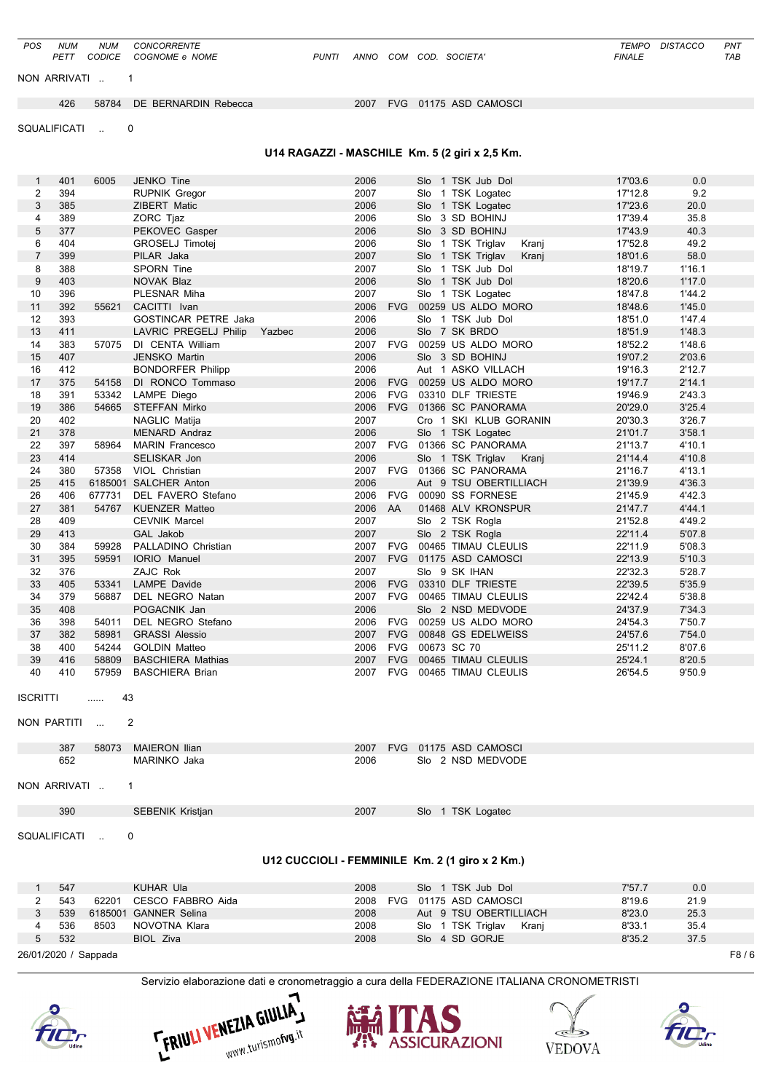| Servizio elaborazione dati e cronometraggio a cura della FEDERAZIONE ITALIANA CRONOMETRISTI |                  |
|---------------------------------------------------------------------------------------------|------------------|
|                                                                                             | F8/6             |
| 8'35.2                                                                                      | 37.5             |
| 8'33.1                                                                                      | 35.4             |
| 8'23.0                                                                                      | 25.3             |
| 7'57.7<br>8'19.6                                                                            | 0.0<br>21.9      |
|                                                                                             |                  |
|                                                                                             |                  |
|                                                                                             |                  |
|                                                                                             |                  |
|                                                                                             |                  |
|                                                                                             |                  |
|                                                                                             |                  |
|                                                                                             |                  |
| 26'54.5                                                                                     | 9'50.9           |
| 25'24.1                                                                                     | 8'20.5           |
| 24'57.6<br>25'11.2                                                                          | 7'54.0<br>8'07.6 |
| 24'54.3                                                                                     | 7'50.7           |
| 24'37.9                                                                                     | 7'34.3           |
| 22'42.4                                                                                     | 5'38.8           |
| 22'39.5                                                                                     | 5'35.9           |
| 22'13.9<br>22'32.3                                                                          | 5'10.3<br>5'28.7 |
| 22'11.9                                                                                     | 5'08.3           |
| 22'11.4                                                                                     | 5'07.8           |
| 21'52.8                                                                                     | 4'49.2           |
| 21'47.7                                                                                     | 4'44.1           |
| 21'45.9                                                                                     | 4'42.3           |
| 21'16.7<br>21'39.9                                                                          | 4'13.1<br>4'36.3 |
| 21'14.4                                                                                     | 4'10.8           |
| 21'13.7                                                                                     | 4'10.1           |
| 21'01.7                                                                                     | 3'58.1           |
| 20'30.3                                                                                     | 3'26.7           |
| 20'29.0                                                                                     | 3'25.4           |
| 19'17.7<br>19'46.9                                                                          | 2'14.1<br>2'43.3 |
| 19'16.3                                                                                     | 2'12.7           |
| 19'07.2                                                                                     | 2'03.6           |
| 18'52.2                                                                                     | 1'48.6           |
| 18'51.9                                                                                     | 1'48.3           |
| 18'48.6<br>18'51.0                                                                          | 1'45.0<br>1'47.4 |
| 18'47.8                                                                                     | 1'44.2           |
| 18'20.6                                                                                     | 1'17.0           |
| 18'19.7                                                                                     | 1'16.1           |
| 18'01.6                                                                                     | 58.0             |
| 17'43.9<br>17'52.8                                                                          | 40.3<br>49.2     |
| 17'39.4                                                                                     | 35.8             |
| 17'23.6                                                                                     | 20.0             |
| 17'12.8                                                                                     | 9.2              |
| 17'03.6                                                                                     | 0.0              |
|                                                                                             |                  |
|                                                                                             |                  |
|                                                                                             |                  |
|                                                                                             |                  |
|                                                                                             |                  |
|                                                                                             |                  |

*POS NUM NUM CONCORRENTE TEMPO DISTACCO PNT PETT CODICE COGNOME e NOME PUNTI ANNO COM COD. SOCIETA' FINALE TAB*









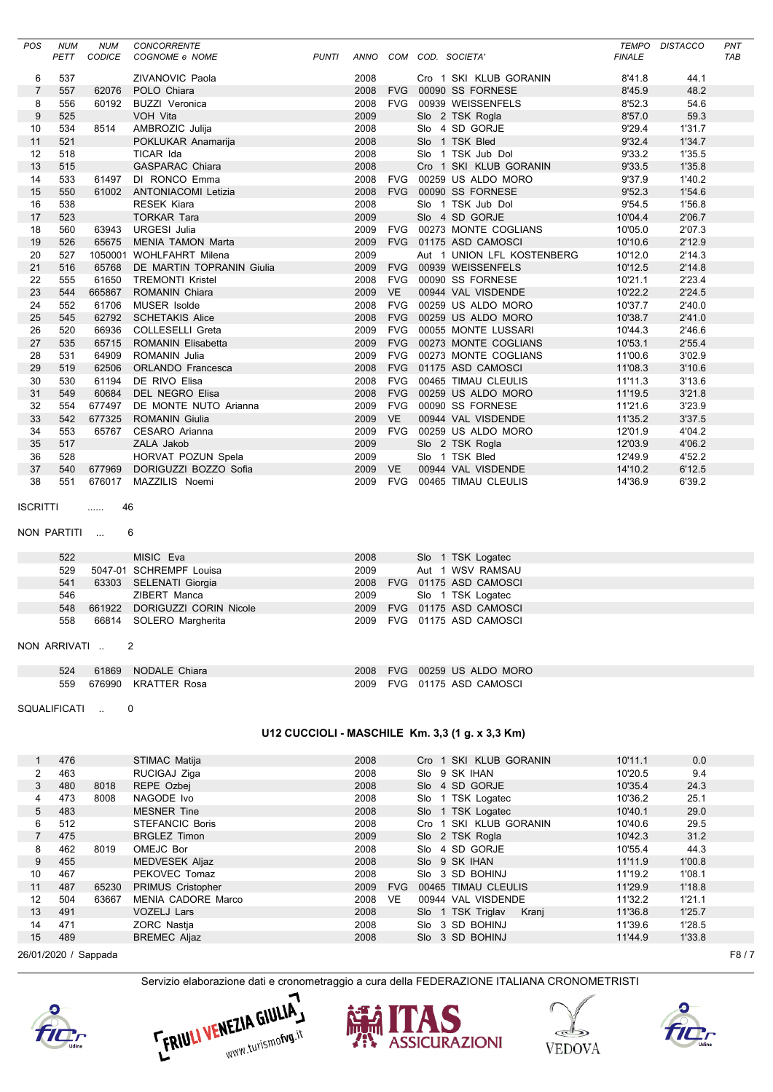| POS                 | <b>NUM</b> | <b>NUM</b>    | <b>CONCORRENTE</b>           |              |         |            |                   |                            |               | TEMPO DISTACCO | PNT        |
|---------------------|------------|---------------|------------------------------|--------------|---------|------------|-------------------|----------------------------|---------------|----------------|------------|
|                     | PETT       | <b>CODICE</b> | COGNOME e NOME               | <b>PUNTI</b> | ANNO    |            | COM COD. SOCIETA' |                            | <b>FINALE</b> |                | <b>TAB</b> |
|                     | 537        |               | <b>ZIVANOVIC Paola</b>       |              | 2008    |            |                   | Cro 1 SKI KLUB GORANIN     | 8'41.8        | 44.1           |            |
| 6<br>$\overline{7}$ | 557        | 62076         | POLO Chiara                  |              | 2008    |            |                   | FVG 00090 SS FORNESE       | 8'45.9        | 48.2           |            |
| 8                   | 556        | 60192         | <b>BUZZI Veronica</b>        |              | 2008    |            |                   | FVG 00939 WEISSENFELS      | 8'52.3        | 54.6           |            |
| 9                   | 525        |               | VOH Vita                     |              | 2009    |            |                   | Slo 2 TSK Rogla            | 8'57.0        | 59.3           |            |
| 10                  | 534        | 8514          | AMBROZIC Julija              |              | 2008    |            |                   | Slo 4 SD GORJE             | 9'29.4        | 1'31.7         |            |
| 11                  | 521        |               | POKLUKAR Anamarija           |              | 2008    |            |                   | Slo 1 TSK Bled             | 9'32.4        | 1'34.7         |            |
| 12                  | 518        |               | TICAR Ida                    |              | 2008    |            |                   | Slo 1 TSK Jub Dol          | 9'33.2        | 1'35.5         |            |
| 13                  | 515        |               | <b>GASPARAC Chiara</b>       |              | 2008    |            |                   | Cro 1 SKI KLUB GORANIN     | 9'33.5        | 1'35.8         |            |
| 14                  | 533        | 61497         | DI RONCO Emma                |              | 2008    |            |                   | FVG 00259 US ALDO MORO     | 9'37.9        | 1'40.2         |            |
| 15                  | 550        |               | 61002 ANTONIACOMI Letizia    |              | 2008    |            |                   | FVG 00090 SS FORNESE       | 9'52.3        | 1'54.6         |            |
| 16                  | 538        |               | <b>RESEK Kiara</b>           |              | 2008    |            |                   | Slo 1 TSK Jub Dol          | 9'54.5        | 1'56.8         |            |
| 17                  | 523        |               | <b>TORKAR Tara</b>           |              | 2009    |            |                   | Slo 4 SD GORJE             | 10'04.4       | 2'06.7         |            |
| 18                  | 560        |               | 63943 URGESI Julia           |              | 2009    |            |                   | FVG 00273 MONTE COGLIANS   | 10'05.0       | 2'07.3         |            |
| 19                  | 526        |               | 65675 MENIA TAMON Marta      |              | 2009    |            |                   | FVG 01175 ASD CAMOSCI      | 10'10.6       | 2'12.9         |            |
| 20                  | 527        |               | 1050001 WOHLFAHRT Milena     |              | 2009    |            |                   | Aut 1 UNION LFL KOSTENBERG | 10'12.0       | 2'14.3         |            |
| 21                  | 516        | 65768         | DE MARTIN TOPRANIN Giulia    |              | 2009    | <b>FVG</b> |                   | 00939 WEISSENFELS          | 10'12.5       | 2'14.8         |            |
| 22                  | 555        | 61650         | <b>TREMONTI Kristel</b>      |              | 2008    | <b>FVG</b> |                   | 00090 SS FORNESE           | 10'21.1       | 2'23.4         |            |
| 23                  | 544        | 665867        | <b>ROMANIN Chiara</b>        |              | 2009    | <b>VE</b>  |                   | 00944 VAL VISDENDE         | 10'22.2       | 2'24.5         |            |
| 24                  | 552        | 61706         | MUSER Isolde                 |              | 2008    | <b>FVG</b> |                   | 00259 US ALDO MORO         | 10'37.7       | 2'40.0         |            |
| 25                  | 545        | 62792         | <b>SCHETAKIS Alice</b>       |              | 2008    | <b>FVG</b> |                   | 00259 US ALDO MORO         | 10'38.7       | 2'41.0         |            |
| 26                  | 520        | 66936         | <b>COLLESELLI Greta</b>      |              | 2009    | <b>FVG</b> |                   | 00055 MONTE LUSSARI        | 10'44.3       | 2'46.6         |            |
| 27                  | 535        | 65715         | <b>ROMANIN Elisabetta</b>    |              | 2009    |            |                   | FVG 00273 MONTE COGLIANS   | 10'53.1       | 2'55.4         |            |
| 28                  | 531        | 64909         | ROMANIN Julia                |              | 2009    |            |                   | FVG 00273 MONTE COGLIANS   | 11'00.6       | 3'02.9         |            |
| 29                  | 519        | 62506         | <b>ORLANDO</b> Francesca     |              | 2008    |            |                   | FVG 01175 ASD CAMOSCI      | 11'08.3       | 3'10.6         |            |
| 30                  | 530        | 61194         | DE RIVO Elisa                |              | 2008    | <b>FVG</b> |                   | 00465 TIMAU CLEULIS        | 11'11.3       | 3'13.6         |            |
| 31                  | 549        | 60684         | <b>DEL NEGRO Elisa</b>       |              | 2008    | <b>FVG</b> |                   | 00259 US ALDO MORO         | 11'19.5       | 3'21.8         |            |
| 32                  | 554        | 677497        | DE MONTE NUTO Arianna        |              | 2009    | <b>FVG</b> |                   | 00090 SS FORNESE           | 11'21.6       | 3'23.9         |            |
| 33                  | 542        | 677325        | <b>ROMANIN Giulia</b>        |              | 2009    | <b>VE</b>  |                   | 00944 VAL VISDENDE         | 11'35.2       | 3'37.5         |            |
| 34                  | 553        | 65767         | <b>CESARO</b> Arianna        |              | 2009    | <b>FVG</b> |                   | 00259 US ALDO MORO         | 12'01.9       | 4'04.2         |            |
| 35                  | 517        |               | ZALA Jakob                   |              | 2009    |            |                   | Slo 2 TSK Rogla            | 12'03.9       | 4'06.2         |            |
| 36                  | 528        |               | HORVAT POZUN Spela           |              | 2009    |            |                   | Slo 1 TSK Bled             | 12'49.9       | 4'52.2         |            |
| 37                  | 540        |               | 677969 DORIGUZZI BOZZO Sofia |              | 2009 VE |            |                   | 00944 VAL VISDENDE         | 14'10.2       | 6'12.5         |            |
| 38                  | 551        | 676017        | MAZZILIS Noemi               |              | 2009    | <b>FVG</b> |                   | 00465 TIMAU CLEULIS        | 14'36.9       | 6'39.2         |            |

```
ISCRITTI ...... 46
```

```
NON PARTITI ... 6
```

| 522 | MISIC Eva                         | 2008 |  | Slo 1 TSK Logatec          |  |  |
|-----|-----------------------------------|------|--|----------------------------|--|--|
|     | 529 5047-01 SCHREMPF Louisa       | 2009 |  | Aut 1 WSV RAMSAU           |  |  |
|     | 541 63303 SELENATI Giorgia        |      |  | 2008 FVG 01175 ASD CAMOSCI |  |  |
| 546 | ZIBERT Manca                      |      |  | 2009 Slo 1 TSK Logatec     |  |  |
|     | 548 661922 DORIGUZZI CORIN Nicole |      |  | 2009 FVG 01175 ASD CAMOSCI |  |  |
|     | 558 66814 SOLERO Margherita       |      |  | 2009 FVG 01175 ASD CAMOSCI |  |  |

NON ARRIVATI .. 2

| 524 | 61869 NODALE Chiara     |  | 2008 FVG 00259 US ALDO MORO |
|-----|-------------------------|--|-----------------------------|
|     | 559 676990 KRATTER Rosa |  | 2009 FVG 01175 ASD CAMOSCI  |

SQUALIFICATI .. 0

## **U12 CUCCIOLI - MASCHILE Km. 3,3 (1 g. x 3,3 Km)**

|    | 476                          |       | STIMAC Matija             | 2008 |            | Cro 1 SKI KLUB GORANIN | 10'11.1          | 0.0    |  |  |  |
|----|------------------------------|-------|---------------------------|------|------------|------------------------|------------------|--------|--|--|--|
| 2  | 463                          |       | RUCIGAJ Ziga              | 2008 |            | Slo 9 SK IHAN          | 10'20.5          | 9.4    |  |  |  |
| 3  | 480                          | 8018  | REPE Ozbej                | 2008 |            | Slo 4 SD GORJE         | 10'35.4          | 24.3   |  |  |  |
|    | 473                          | 8008  | NAGODE Ivo                | 2008 |            | Slo 1 TSK Logatec      | 10'36.2          | 25.1   |  |  |  |
| 5  | 483                          |       | <b>MESNER Tine</b>        | 2008 |            | Slo 1 TSK Logatec      | 10'40.1          | 29.0   |  |  |  |
| 6  | 512                          |       | <b>STEFANCIC Boris</b>    | 2008 |            | Cro 1 SKI KLUB GORANIN | 10'40.6          | 29.5   |  |  |  |
|    | 475                          |       | <b>BRGLEZ Timon</b>       | 2009 |            | Slo 2 TSK Rogla        | 10'42.3          | 31.2   |  |  |  |
| 8  | 462                          | 8019  | OMEJC Bor                 | 2008 |            | Slo 4 SD GORJE         | 10'55.4          | 44.3   |  |  |  |
| 9  | 455                          |       | <b>MEDVESEK Aljaz</b>     | 2008 |            | Slo 9 SK IHAN          | 11'11.9          | 1'00.8 |  |  |  |
| 10 | 467                          |       | PEKOVEC Tomaz             | 2008 |            | Slo 3 SD BOHINJ        | 11'19.2          | 1'08.1 |  |  |  |
| 11 | 487                          | 65230 | <b>PRIMUS Cristopher</b>  | 2009 | <b>FVG</b> | 00465 TIMAU CLEULIS    | 11'29.9          | 1'18.8 |  |  |  |
| 12 | 504                          | 63667 | <b>MENIA CADORE Marco</b> | 2008 | <b>VE</b>  | 00944 VAL VISDENDE     | 11'32.2          | 1'21.1 |  |  |  |
| 13 | 491                          |       | <b>VOZELJ Lars</b>        | 2008 |            | Slo 1 TSK Triglav      | 11'36.8<br>Kranj | 1'25.7 |  |  |  |
| 14 | 471                          |       | ZORC Nastja               | 2008 |            | Slo 3 SD BOHINJ        | 11'39.6          | 1'28.5 |  |  |  |
| 15 | 489                          |       | <b>BREMEC Aljaz</b>       | 2008 |            | Slo 3 SD BOHINJ        | 11'44.9          | 1'33.8 |  |  |  |
|    | F8/7<br>26/01/2020 / Sappada |       |                           |      |            |                        |                  |        |  |  |  |









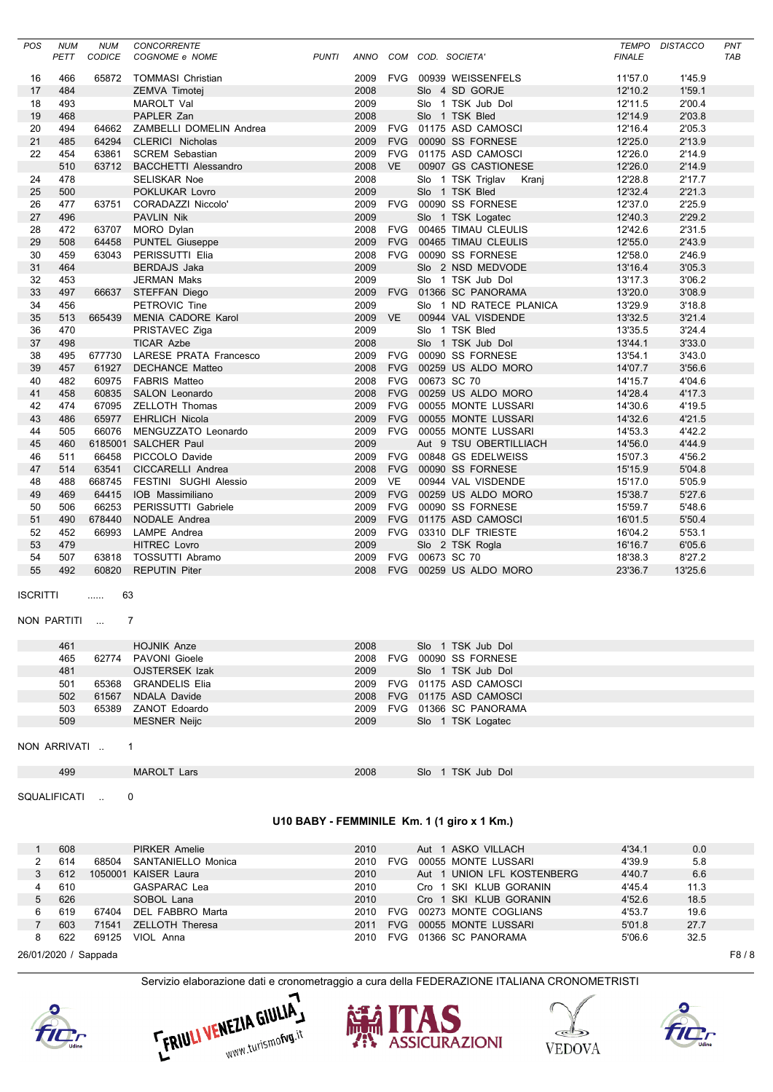| POS      | <b>NUM</b>          | <b>NUM</b>                  | <b>CONCORRENTE</b>                        |              |              |            |                 |                                             | <b>TEMPO</b>       | <b>DISTACCO</b>  | PNT |
|----------|---------------------|-----------------------------|-------------------------------------------|--------------|--------------|------------|-----------------|---------------------------------------------|--------------------|------------------|-----|
|          | PETT                | CODICE                      | COGNOME e NOME                            | <b>PUNTI</b> |              |            |                 | ANNO COM COD. SOCIETA'                      | <b>FINALE</b>      |                  | TAB |
|          |                     |                             |                                           |              |              |            |                 |                                             |                    |                  |     |
| 16<br>17 | 466<br>484          | 65872                       | <b>TOMMASI Christian</b><br>ZEMVA Timotej |              | 2009<br>2008 |            |                 | FVG 00939 WEISSENFELS<br>Slo 4 SD GORJE     | 11'57.0<br>12'10.2 | 1'45.9<br>1'59.1 |     |
| 18       | 493                 |                             | MAROLT Val                                |              | 2009         |            |                 | Slo 1 TSK Jub Dol                           | 12'11.5            | 2'00.4           |     |
| 19       | 468                 |                             | PAPLER Zan                                |              | 2008         |            |                 | Slo 1 TSK Bled                              | 12'14.9            | 2'03.8           |     |
| 20       | 494                 | 64662                       | ZAMBELLI DOMELIN Andrea                   |              | 2009         |            |                 | FVG 01175 ASD CAMOSCI                       | 12'16.4            | 2'05.3           |     |
| 21       | 485                 | 64294                       | <b>CLERICI Nicholas</b>                   |              | 2009         |            |                 | FVG 00090 SS FORNESE                        | 12'25.0            | 2'13.9           |     |
| 22       | 454                 | 63861                       | <b>SCREM Sebastian</b>                    |              | 2009         |            |                 | FVG 01175 ASD CAMOSCI                       | 12'26.0            | 2'14.9           |     |
|          | 510                 | 63712                       | <b>BACCHETTI Alessandro</b>               |              | 2008 VE      |            |                 | 00907 GS CASTIONESE                         | 12'26.0            | 2'14.9           |     |
| 24       | 478                 |                             | <b>SELISKAR Noe</b>                       |              | 2008         |            |                 | Slo 1 TSK Triglav Kranj                     | 12'28.8            | 2'17.7           |     |
| 25       | 500                 |                             | POKLUKAR Lovro                            |              | 2009         |            |                 | Slo 1 TSK Bled                              | 12'32.4            | 2'21.3           |     |
| 26       | 477                 | 63751                       | CORADAZZI Niccolo'                        |              | 2009         |            |                 | FVG 00090 SS FORNESE                        | 12'37.0            | 2'25.9           |     |
| 27       | 496                 |                             | PAVLIN Nik                                |              | 2009         |            |                 | Slo 1 TSK Logatec                           | 12'40.3            | 2'29.2           |     |
| 28       | 472                 |                             | 63707 MORO Dylan                          |              | 2008         |            |                 | FVG 00465 TIMAU CLEULIS                     | 12'42.6            | 2'31.5           |     |
| 29       | 508                 | 64458                       | <b>PUNTEL Giuseppe</b>                    |              | 2009         |            |                 | FVG 00465 TIMAU CLEULIS                     | 12'55.0            | 2'43.9           |     |
| 30       | 459                 | 63043                       | PERISSUTTI Elia                           |              | 2008         |            |                 | FVG 00090 SS FORNESE                        | 12'58.0            | 2'46.9           |     |
| 31       | 464                 |                             | <b>BERDAJS Jaka</b>                       |              | 2009         |            |                 | Slo 2 NSD MEDVODE                           | 13'16.4            | 3'05.3           |     |
| 32       | 453                 |                             | <b>JERMAN Maks</b>                        |              | 2009         |            |                 | Slo 1 TSK Jub Dol                           | 13'17.3            | 3'06.2           |     |
| 33       | 497                 |                             | 66637 STEFFAN Diego                       |              | 2009         |            |                 | FVG 01366 SC PANORAMA                       | 13'20.0            | 3'08.9           |     |
| 34       | 456                 |                             | PETROVIC Tine                             |              | 2009         |            |                 | Slo 1 ND RATECE PLANICA                     | 13'29.9            | 3'18.8           |     |
| 35       | 513                 | 665439                      | MENIA CADORE Karol                        |              | 2009 VE      |            |                 | 00944 VAL VISDENDE                          | 13'32.5            | 3'21.4           |     |
| 36       | 470                 |                             | PRISTAVEC Ziga                            |              | 2009         |            |                 | Slo 1 TSK Bled                              | 13'35.5            | 3'24.4           |     |
| 37       | 498                 |                             | <b>TICAR Azbe</b>                         |              | 2008         |            |                 | Slo 1 TSK Jub Dol                           | 13'44.1            | 3'33.0           |     |
| 38       | 495                 |                             | 677730 LARESE PRATA Francesco             |              | 2009         |            |                 | FVG 00090 SS FORNESE                        | 13'54.1            | 3'43.0           |     |
| 39       | 457                 |                             | 61927 DECHANCE Matteo                     |              | 2008         |            |                 | FVG 00259 US ALDO MORO                      | 14'07.7            | 3'56.6           |     |
| 40       | 482                 |                             | 60975 FABRIS Matteo                       |              | 2008         |            | FVG 00673 SC 70 |                                             | 14'15.7            | 4'04.6           |     |
| 41       | 458                 |                             | 60835 SALON Leonardo                      |              | 2008         |            |                 | FVG 00259 US ALDO MORO                      | 14'28.4            | 4'17.3           |     |
| 42       | 474                 |                             | 67095 ZELLOTH Thomas                      |              | 2009         |            |                 | FVG 00055 MONTE LUSSARI                     | 14'30.6            | 4'19.5           |     |
| 43       | 486                 |                             | 65977 EHRLICH Nicola                      |              | 2009         |            |                 | FVG 00055 MONTE LUSSARI                     | 14'32.6            | 4'21.5           |     |
| 44       | 505                 | 66076                       | MENGUZZATO Leonardo                       |              | 2009         | <b>FVG</b> |                 | 00055 MONTE LUSSARI                         | 14'53.3            | 4'42.2           |     |
| 45       | 460                 |                             | 6185001 SALCHER Paul                      |              | 2009         |            |                 | Aut 9 TSU OBERTILLIACH                      | 14'56.0            | 4'44.9           |     |
| 46       | 511                 |                             | 66458 PICCOLO Davide                      |              | 2009         |            |                 | FVG 00848 GS EDELWEISS                      | 15'07.3            | 4'56.2           |     |
| 47       | 514                 | 63541                       | CICCARELLI Andrea                         |              | 2008         |            |                 | FVG 00090 SS FORNESE                        | 15'15.9            | 5'04.8           |     |
| 48       | 488                 | 668745                      | FESTINI SUGHI Alessio                     |              | 2009         | VE         |                 | 00944 VAL VISDENDE                          | 15'17.0            | 5'05.9           |     |
| 49       | 469                 |                             | 64415 IOB Massimiliano                    |              | 2009         |            |                 | FVG 00259 US ALDO MORO                      | 15'38.7            | 5'27.6           |     |
| 50       | 506                 | 66253                       | PERISSUTTI Gabriele                       |              | 2009         |            |                 | FVG 00090 SS FORNESE                        | 15'59.7            | 5'48.6           |     |
| 51       | 490                 | 678440                      | NODALE Andrea                             |              | 2009         |            |                 | FVG 01175 ASD CAMOSCI                       | 16'01.5            | 5'50.4           |     |
| 52       | 452                 | 66993                       | LAMPE Andrea                              |              | 2009         |            |                 | FVG 03310 DLF TRIESTE                       | 16'04.2            | 5'53.1           |     |
| 53       | 479                 |                             | <b>HITREC Lovro</b>                       |              | 2009         |            |                 | Slo 2 TSK Rogla                             | 16'16.7            | 6'05.6           |     |
| 54       | 507                 |                             | 63818 TOSSUTTI Abramo                     |              | 2009         |            | FVG 00673 SC 70 |                                             | 18'38.3            | 8'27.2           |     |
| 55       | 492                 |                             | 60820 REPUTIN Piter                       |              | 2008         |            |                 | FVG 00259 US ALDO MORO                      | 23'36.7            | 13'25.6          |     |
| ISCRITTI | NON PARTITI         | 63<br>.<br>$\sim$ 100 $\pm$ |                                           |              |              |            |                 |                                             |                    |                  |     |
|          | 461                 |                             | <b>HOJNIK Anze</b>                        |              | 2008         |            |                 | Slo 1 TSK Jub Dol                           |                    |                  |     |
|          | 465                 |                             | 62774 PAVONI Gioele                       |              |              |            |                 | 2008 FVG 00090 SS FORNESE                   |                    |                  |     |
|          | 481                 |                             | OJSTERSEK Izak                            |              | 2009         |            |                 | Slo 1 TSK Jub Dol                           |                    |                  |     |
|          | 501                 |                             | 65368 GRANDELIS Elia                      |              |              |            |                 | 2009 FVG 01175 ASD CAMOSCI                  |                    |                  |     |
|          | 502                 |                             | 61567 NDALA Davide                        |              | 2008         |            |                 | FVG 01175 ASD CAMOSCI                       |                    |                  |     |
|          | 503                 | 65389                       | ZANOT Edoardo                             |              |              |            |                 | 2009 FVG 01366 SC PANORAMA                  |                    |                  |     |
|          | 509                 |                             | <b>MESNER Neijc</b>                       |              | 2009         |            |                 | Slo 1 TSK Logatec                           |                    |                  |     |
|          | NON ARRIVATI<br>499 |                             | $\mathbf{1}$<br><b>MAROLT Lars</b>        |              | 2008         |            |                 | Slo 1 TSK Jub Dol                           |                    |                  |     |
|          | SQUALIFICATI        | $\sim 10^{-1}$              | 0                                         |              |              |            |                 | U10 BABY - FEMMINILE Km. 1 (1 giro x 1 Km.) |                    |                  |     |
|          |                     |                             |                                           |              |              |            |                 |                                             |                    |                  |     |
|          | 608                 |                             | <b>PIRKER Amelie</b>                      |              | 2010         |            |                 | Aut 1 ASKO VILLACH                          | 4'34.1             | 0.0              |     |
|          | 614                 |                             | 68504 SANTANIELLO Monica                  |              |              |            |                 | 2010 FVG 00055 MONTE LUSSARI                | 4'39.9             | 5.8              |     |

|                      | vvv |       | FINNLIN ATTICIIC     | 2010     |     |  | AUL I AVNU VILLAUIT        | <b>4 J4.I</b> | v.v  |  |
|----------------------|-----|-------|----------------------|----------|-----|--|----------------------------|---------------|------|--|
|                      | 614 | 68504 | SANTANIELLO Monica   | 2010     | FVG |  | 00055 MONTE LUSSARI        | 4'39.9        | 5.8  |  |
|                      | 612 |       | 1050001 KAISER Laura | 2010     |     |  | Aut 1 UNION LFL KOSTENBERG | 4'40.7        | 6.6  |  |
|                      | 610 |       | <b>GASPARAC Lea</b>  | 2010     |     |  | Cro 1 SKI KLUB GORANIN     | 4'45.4        | 11.3 |  |
| 5                    | 626 |       | SOBOL Lana           | 2010     |     |  | Cro 1 SKI KLUB GORANIN     | 4'52.6        | 18.5 |  |
| 6.                   | 619 | 67404 | DEL FABBRO Marta     | 2010     | FVG |  | 00273 MONTE COGLIANS       | 4'53.7        | 19.6 |  |
|                      | 603 | 71541 | ZELLOTH Theresa      | 2011 FVG |     |  | 00055 MONTE LUSSARI        | 5'01.8        | 27.7 |  |
| 8                    | 622 | 69125 | VIOL Anna            |          |     |  | 2010 FVG 01366 SC PANORAMA | 5'06.6        | 32.5 |  |
| 26/01/2020 / Sappada |     |       |                      |          |     |  |                            |               | F8/8 |  |









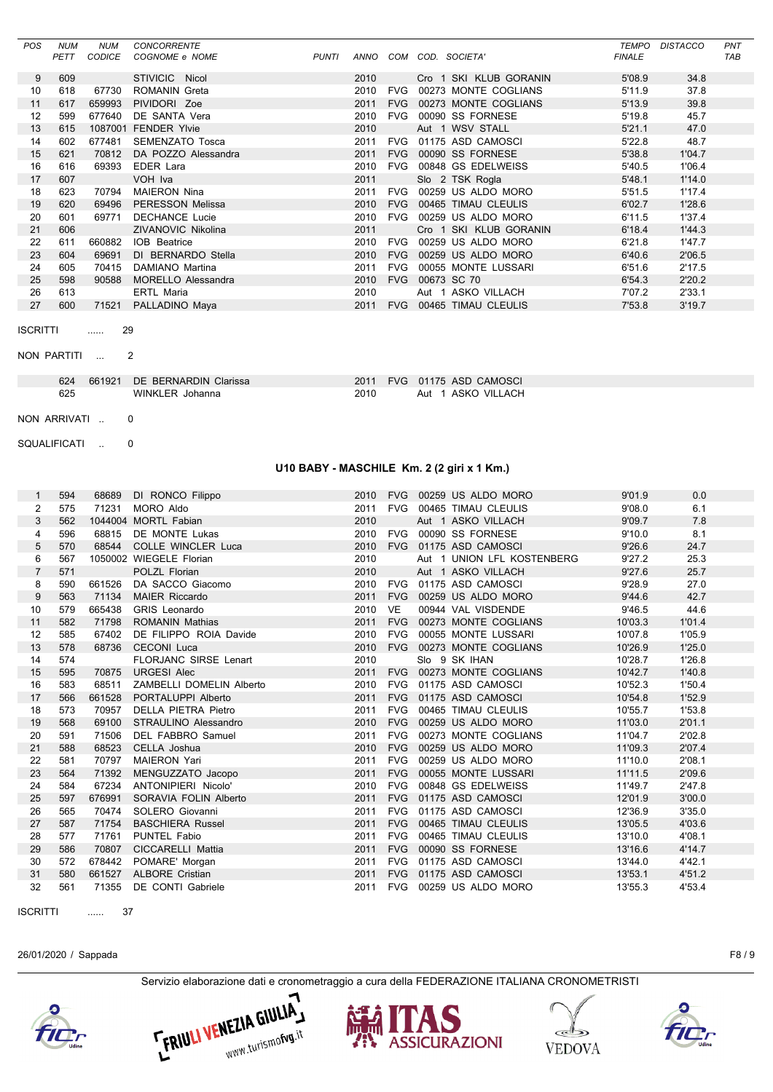| <b>POS</b>      | <b>NUM</b>  | <b>NUM</b>    | <b>CONCORRENTE</b>        |              |      |            |                        | TEMPO         | <b>DISTACCO</b> | PNT        |
|-----------------|-------------|---------------|---------------------------|--------------|------|------------|------------------------|---------------|-----------------|------------|
|                 | <b>PETT</b> | <b>CODICE</b> | COGNOME e NOME            | <b>PUNTI</b> | ANNO | COM        | COD. SOCIETA'          | <b>FINALE</b> |                 | <b>TAB</b> |
|                 |             |               |                           |              |      |            |                        |               |                 |            |
| 9               | 609         |               | STIVICIC Nicol            |              | 2010 |            | Cro 1 SKI KLUB GORANIN | 5'08.9        | 34.8            |            |
| 10              | 618         | 67730         | ROMANIN Greta             |              | 2010 | <b>FVG</b> | 00273 MONTE COGLIANS   | 5'11.9        | 37.8            |            |
| 11              | 617         | 659993        | PIVIDORI Zoe              |              | 2011 | <b>FVG</b> | 00273 MONTE COGLIANS   | 5'13.9        | 39.8            |            |
| 12              | 599         | 677640        | DE SANTA Vera             |              | 2010 | <b>FVG</b> | 00090 SS FORNESE       | 5'19.8        | 45.7            |            |
| 13              | 615         |               | 1087001 FENDER Ylvie      |              | 2010 |            | Aut 1 WSV STALL        | 5'21.1        | 47.0            |            |
| 14              | 602         | 677481        | SEMENZATO Tosca           |              | 2011 | <b>FVG</b> | 01175 ASD CAMOSCI      | 5'22.8        | 48.7            |            |
| 15              | 621         | 70812         | DA POZZO Alessandra       |              | 2011 | <b>FVG</b> | 00090 SS FORNESE       | 5'38.8        | 1'04.7          |            |
| 16              | 616         | 69393         | EDER Lara                 |              | 2010 | <b>FVG</b> | 00848 GS EDELWEISS     | 5'40.5        | 1'06.4          |            |
| 17              | 607         |               | VOH Iva                   |              | 2011 |            | Slo 2 TSK Rogla        | 5'48.1        | 1'14.0          |            |
| 18              | 623         | 70794         | <b>MAIERON Nina</b>       |              | 2011 | FVG        | 00259 US ALDO MORO     | 5'51.5        | 1'17.4          |            |
| 19              | 620         | 69496         | <b>PERESSON Melissa</b>   |              | 2010 | <b>FVG</b> | 00465 TIMAU CLEULIS    | 6'02.7        | 1'28.6          |            |
| 20              | 601         | 69771         | <b>DECHANCE Lucie</b>     |              | 2010 | FVG        | 00259 US ALDO MORO     | 6'11.5        | 1'37.4          |            |
| 21              | 606         |               | <b>ZIVANOVIC Nikolina</b> |              | 2011 |            | Cro 1 SKI KLUB GORANIN | 6'18.4        | 1'44.3          |            |
| 22              | 611         | 660882        | <b>IOB</b> Beatrice       |              | 2010 | <b>FVG</b> | 00259 US ALDO MORO     | 6'21.8        | 1'47.7          |            |
| 23              | 604         | 69691         | DI BERNARDO Stella        |              | 2010 | <b>FVG</b> | 00259 US ALDO MORO     | 6'40.6        | 2'06.5          |            |
| 24              | 605         | 70415         | DAMIANO Martina           |              | 2011 | <b>FVG</b> | 00055 MONTE LUSSARI    | 6'51.6        | 2'17.5          |            |
| 25              | 598         | 90588         | <b>MORELLO Alessandra</b> |              | 2010 | <b>FVG</b> | 00673 SC 70            | 6'54.3        | 2'20.2          |            |
| 26              | 613         |               | <b>ERTL Maria</b>         |              | 2010 |            | Aut 1 ASKO VILLACH     | 7'07.2        | 2'33.1          |            |
| 27              | 600         | 71521         | PALLADINO Maya            |              | 2011 | <b>FVG</b> | 00465 TIMAU CLEULIS    | 7'53.8        | 3'19.7          |            |
|                 |             |               |                           |              |      |            |                        |               |                 |            |
| <b>ISCRITTI</b> |             | 29<br>        |                           |              |      |            |                        |               |                 |            |

NON PARTITI ...

 $\overline{c}$ 

|     | 624 661921 DE BERNARDIN Clarissa |      | 2011 FVG 01175 ASD CAMOSCI |
|-----|----------------------------------|------|----------------------------|
| 625 | WINKLER Johanna                  | 2010 | Aut 1 ASKO VILLACH         |

NON ARRIVATI ..  $\pmb{0}$ 

SQUALIFICATI ..  $\pmb{0}$ 

### U10 BABY - MASCHILE Km. 2 (2 giri x 1 Km.)

| 1              | 594 | 68689  | DI RONCO Filippo             | 2010 | <b>FVG</b> | 00259 US ALDO MORO            | 9'01.9  | 0.0    |
|----------------|-----|--------|------------------------------|------|------------|-------------------------------|---------|--------|
| 2              | 575 | 71231  | MORO Aldo                    | 2011 |            | FVG 00465 TIMAU CLEULIS       | 9'08.0  | 6.1    |
| 3              | 562 |        | 1044004 MORTL Fabian         | 2010 |            | Aut 1 ASKO VILLACH            | 9'09.7  | 7.8    |
| 4              | 596 | 68815  | DE MONTE Lukas               | 2010 | <b>FVG</b> | 00090 SS FORNESE              | 9'10.0  | 8.1    |
| 5              | 570 |        | 68544 COLLE WINCLER Luca     | 2010 |            | FVG 01175 ASD CAMOSCI         | 9'26.6  | 24.7   |
| 6              | 567 |        | 1050002 WIEGELE Florian      | 2010 |            | Aut 1 UNION LFL KOSTENBERG    | 9'27.2  | 25.3   |
| $\overline{7}$ | 571 |        | POLZL Florian                | 2010 |            | Aut 1 ASKO VILLACH            | 9'27.6  | 25.7   |
| 8              | 590 | 661526 | DA SACCO Giacomo             |      |            | 2010 FVG 01175 ASD CAMOSCI    | 9'28.9  | 27.0   |
| 9              | 563 | 71134  | <b>MAIER Riccardo</b>        | 2011 | <b>FVG</b> | 00259 US ALDO MORO            | 9'44.6  | 42.7   |
| 10             | 579 | 665438 | <b>GRIS</b> Leonardo         | 2010 | <b>VE</b>  | 00944 VAL VISDENDE            | 9'46.5  | 44.6   |
| 11             | 582 | 71798  | <b>ROMANIN Mathias</b>       | 2011 | <b>FVG</b> | 00273 MONTE COGLIANS          | 10'03.3 | 1'01.4 |
| 12             | 585 | 67402  | DE FILIPPO ROIA Davide       |      |            | 2010 FVG 00055 MONTE LUSSARI  | 10'07.8 | 1'05.9 |
| 13             | 578 | 68736  | <b>CECONI Luca</b>           | 2010 | <b>FVG</b> | 00273 MONTE COGLIANS          | 10'26.9 | 1'25.0 |
| 14             | 574 |        | <b>FLORJANC SIRSE Lenart</b> | 2010 |            | Slo 9 SK IHAN                 | 10'28.7 | 1'26.8 |
| 15             | 595 |        | 70875 URGESI Alec            |      |            | 2011 FVG 00273 MONTE COGLIANS | 10'42.7 | 1'40.8 |
| 16             | 583 | 68511  | ZAMBELLI DOMELIN Alberto     | 2010 |            | FVG 01175 ASD CAMOSCI         | 10'52.3 | 1'50.4 |
| 17             | 566 | 661528 | PORTALUPPI Alberto           | 2011 | <b>FVG</b> | 01175 ASD CAMOSCI             | 10'54.8 | 1'52.9 |
| 18             | 573 | 70957  | <b>DELLA PIETRA Pietro</b>   | 2011 | <b>FVG</b> | 00465 TIMAU CLEULIS           | 10'55.7 | 1'53.8 |
| 19             | 568 | 69100  | STRAULINO Alessandro         | 2010 | <b>FVG</b> | 00259 US ALDO MORO            | 11'03.0 | 2'01.1 |
| 20             | 591 | 71506  | DEL FABBRO Samuel            | 2011 | <b>FVG</b> | 00273 MONTE COGLIANS          | 11'04.7 | 2'02.8 |
| 21             | 588 | 68523  | CELLA Joshua                 | 2010 | <b>FVG</b> | 00259 US ALDO MORO            | 11'09.3 | 2'07.4 |
| 22             | 581 | 70797  | <b>MAIERON Yari</b>          | 2011 | <b>FVG</b> | 00259 US ALDO MORO            | 11'10.0 | 2'08.1 |
| 23             | 564 | 71392  | MENGUZZATO Jacopo            | 2011 | <b>FVG</b> | 00055 MONTE LUSSARI           | 11'11.5 | 2'09.6 |
| 24             | 584 | 67234  | ANTONIPIERI Nicolo'          | 2010 | <b>FVG</b> | 00848 GS EDELWEISS            | 11'49.7 | 2'47.8 |
| 25             | 597 | 676991 | SORAVIA FOLIN Alberto        | 2011 |            | FVG 01175 ASD CAMOSCI         | 12'01.9 | 3'00.0 |
| 26             | 565 | 70474  | SOLERO Giovanni              | 2011 | <b>FVG</b> | 01175 ASD CAMOSCI             | 12'36.9 | 3'35.0 |
| 27             | 587 | 71754  | <b>BASCHIERA Russel</b>      | 2011 | <b>FVG</b> | 00465 TIMAU CLEULIS           | 13'05.5 | 4'03.6 |
| 28             | 577 | 71761  | PUNTEL Fabio                 | 2011 | <b>FVG</b> | 00465 TIMAU CLEULIS           | 13'10.0 | 4'08.1 |
| 29             | 586 | 70807  | CICCARELLI Mattia            | 2011 | <b>FVG</b> | 00090 SS FORNESE              | 13'16.6 | 4'14.7 |
| 30             | 572 | 678442 | POMARE' Morgan               | 2011 | <b>FVG</b> | 01175 ASD CAMOSCI             | 13'44.0 | 4'42.1 |
| 31             | 580 |        | 661527 ALBORE Cristian       | 2011 | <b>FVG</b> | 01175 ASD CAMOSCI             | 13'53.1 | 4'51.2 |
| 32             | 561 | 71355  | DE CONTI Gabriele            | 2011 |            | FVG 00259 US ALDO MORO        | 13'55.3 | 4'53.4 |
|                |     |        |                              |      |            |                               |         |        |

**ISCRITTI**  $\ldots$  37

26/01/2020 / Sappada

Servizio elaborazione dati e cronometraggio a cura della FEDERAZIONE ITALIANA CRONOMETRISTI











F8/9